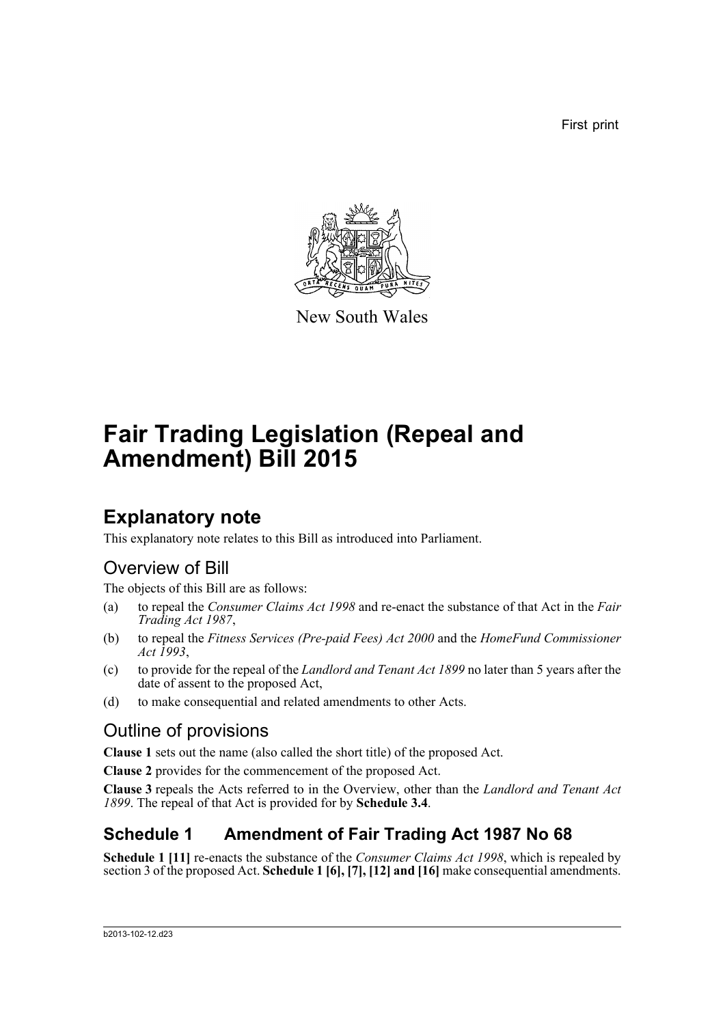First print



New South Wales

# **Fair Trading Legislation (Repeal and Amendment) Bill 2015**

## **Explanatory note**

This explanatory note relates to this Bill as introduced into Parliament.

### Overview of Bill

The objects of this Bill are as follows:

- (a) to repeal the *Consumer Claims Act 1998* and re-enact the substance of that Act in the *Fair Trading Act 1987*,
- (b) to repeal the *Fitness Services (Pre-paid Fees) Act 2000* and the *HomeFund Commissioner Act 1993*,
- (c) to provide for the repeal of the *Landlord and Tenant Act 1899* no later than 5 years after the date of assent to the proposed Act,
- (d) to make consequential and related amendments to other Acts.

### Outline of provisions

**Clause 1** sets out the name (also called the short title) of the proposed Act.

**Clause 2** provides for the commencement of the proposed Act.

**Clause 3** repeals the Acts referred to in the Overview, other than the *Landlord and Tenant Act 1899*. The repeal of that Act is provided for by **Schedule 3.4**.

### **Schedule 1 Amendment of Fair Trading Act 1987 No 68**

**Schedule 1 [11]** re-enacts the substance of the *Consumer Claims Act 1998*, which is repealed by section 3 of the proposed Act. **Schedule 1 [6], [7], [12] and [16]** make consequential amendments.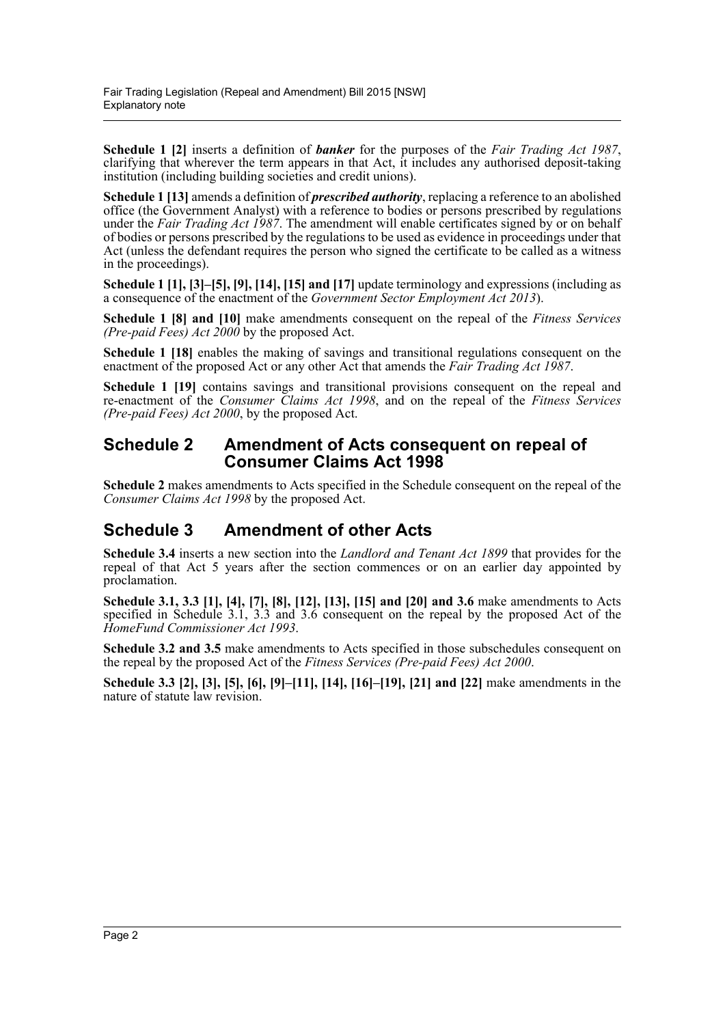**Schedule 1 [2]** inserts a definition of *banker* for the purposes of the *Fair Trading Act 1987*, clarifying that wherever the term appears in that Act, it includes any authorised deposit-taking institution (including building societies and credit unions).

**Schedule 1 [13]** amends a definition of *prescribed authority*, replacing a reference to an abolished office (the Government Analyst) with a reference to bodies or persons prescribed by regulations under the *Fair Trading Act 1987*. The amendment will enable certificates signed by or on behalf of bodies or persons prescribed by the regulations to be used as evidence in proceedings under that Act (unless the defendant requires the person who signed the certificate to be called as a witness in the proceedings).

**Schedule 1 [1], [3]–[5], [9], [14], [15] and [17]** update terminology and expressions (including as a consequence of the enactment of the *Government Sector Employment Act 2013*).

**Schedule 1 [8] and [10]** make amendments consequent on the repeal of the *Fitness Services (Pre-paid Fees) Act 2000* by the proposed Act.

**Schedule 1 [18]** enables the making of savings and transitional regulations consequent on the enactment of the proposed Act or any other Act that amends the *Fair Trading Act 1987*.

Schedule 1 [19] contains savings and transitional provisions consequent on the repeal and re-enactment of the *Consumer Claims Act 1998*, and on the repeal of the *Fitness Services (Pre-paid Fees) Act 2000*, by the proposed Act.

#### **Schedule 2 Amendment of Acts consequent on repeal of Consumer Claims Act 1998**

**Schedule 2** makes amendments to Acts specified in the Schedule consequent on the repeal of the *Consumer Claims Act 1998* by the proposed Act.

### **Schedule 3 Amendment of other Acts**

**Schedule 3.4** inserts a new section into the *Landlord and Tenant Act 1899* that provides for the repeal of that Act 5 years after the section commences or on an earlier day appointed by proclamation.

**Schedule 3.1, 3.3 [1], [4], [7], [8], [12], [13], [15] and [20] and 3.6** make amendments to Acts specified in Schedule 3.1, 3.3 and 3.6 consequent on the repeal by the proposed Act of the *HomeFund Commissioner Act 1993*.

**Schedule 3.2 and 3.5** make amendments to Acts specified in those subschedules consequent on the repeal by the proposed Act of the *Fitness Services (Pre-paid Fees) Act 2000*.

**Schedule 3.3 [2], [3], [5], [6], [9]–[11], [14], [16]–[19], [21] and [22]** make amendments in the nature of statute law revision.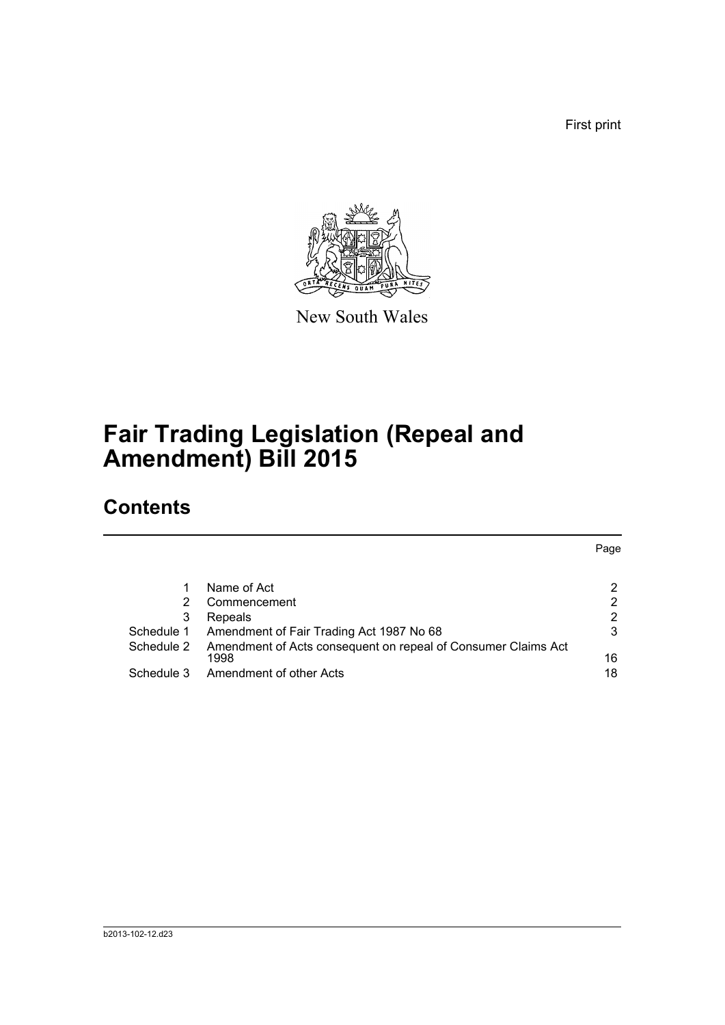First print



New South Wales

# **Fair Trading Legislation (Repeal and Amendment) Bill 2015**

### **Contents**

|            |                                                               | Page |
|------------|---------------------------------------------------------------|------|
|            |                                                               |      |
|            | Name of Act                                                   | 2    |
|            | Commencement                                                  | 2    |
| 3          | Repeals                                                       | 2    |
| Schedule 1 | Amendment of Fair Trading Act 1987 No 68                      | 3    |
| Schedule 2 | Amendment of Acts consequent on repeal of Consumer Claims Act |      |
|            | 1998                                                          | 16   |
| Schedule 3 | Amendment of other Acts                                       | 18   |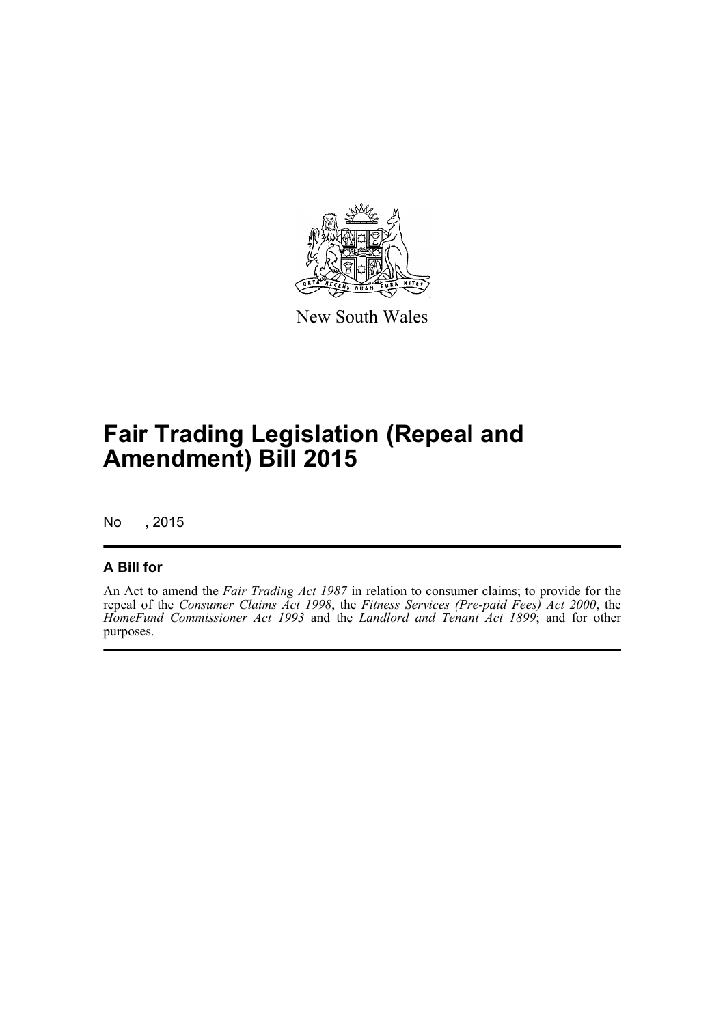

New South Wales

# **Fair Trading Legislation (Repeal and Amendment) Bill 2015**

No , 2015

#### **A Bill for**

An Act to amend the *Fair Trading Act 1987* in relation to consumer claims; to provide for the repeal of the *Consumer Claims Act 1998*, the *Fitness Services (Pre-paid Fees) Act 2000*, the *HomeFund Commissioner Act 1993* and the *Landlord and Tenant Act 1899*; and for other purposes.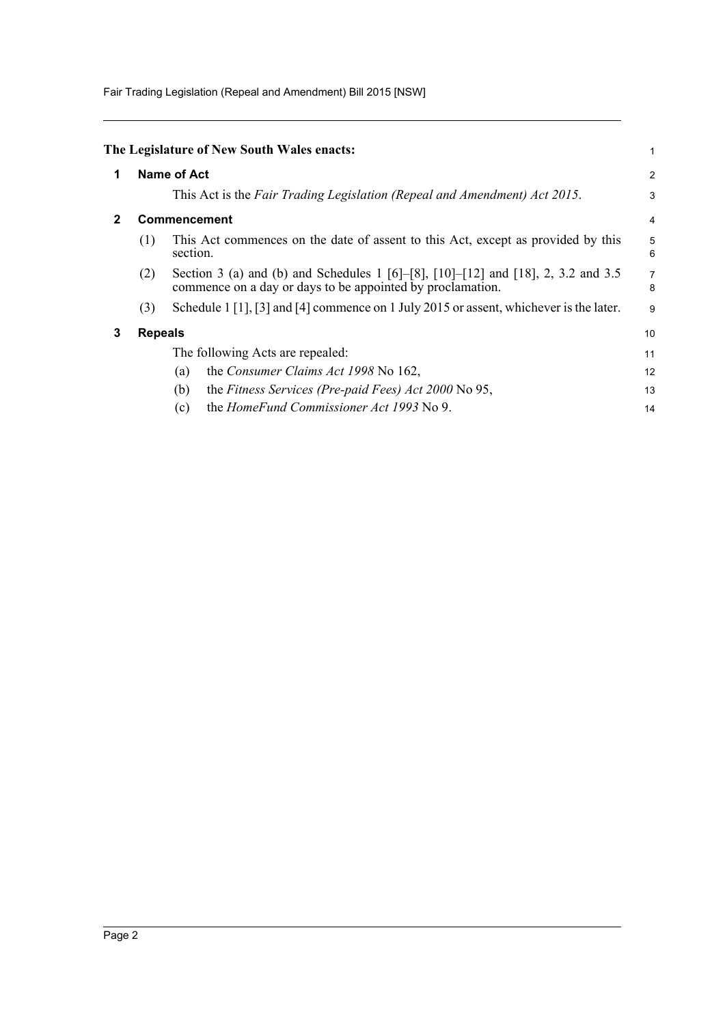Fair Trading Legislation (Repeal and Amendment) Bill 2015 [NSW]

<span id="page-4-2"></span><span id="page-4-1"></span><span id="page-4-0"></span>

|     |                                                                                                                                                 | 1                                                                                                         |
|-----|-------------------------------------------------------------------------------------------------------------------------------------------------|-----------------------------------------------------------------------------------------------------------|
|     |                                                                                                                                                 | $\overline{\mathbf{c}}$                                                                                   |
|     | This Act is the Fair Trading Legislation (Repeal and Amendment) Act 2015.                                                                       | 3                                                                                                         |
|     |                                                                                                                                                 | 4                                                                                                         |
| (1) | This Act commences on the date of assent to this Act, except as provided by this<br>section.                                                    | 5<br>6                                                                                                    |
| (2) | Section 3 (a) and (b) and Schedules 1 [6]–[8], [10]–[12] and [18], 2, 3.2 and 3.5<br>commence on a day or days to be appointed by proclamation. | $\overline{7}$<br>8                                                                                       |
| (3) | Schedule $1\left[1\right], \left[3\right]$ and $\left[4\right]$ commence on 1 July 2015 or assent, whichever is the later.                      | 9                                                                                                         |
|     |                                                                                                                                                 | 10                                                                                                        |
|     | The following Acts are repealed:                                                                                                                | 11                                                                                                        |
|     | the Consumer Claims Act 1998 No 162,<br>(a)                                                                                                     | 12                                                                                                        |
|     | the Fitness Services (Pre-paid Fees) Act 2000 No 95,<br>(b)                                                                                     | 13                                                                                                        |
|     | the HomeFund Commissioner Act 1993 No 9.<br>(c)                                                                                                 | 14                                                                                                        |
|     |                                                                                                                                                 | The Legislature of New South Wales enacts:<br><b>Name of Act</b><br><b>Commencement</b><br><b>Repeals</b> |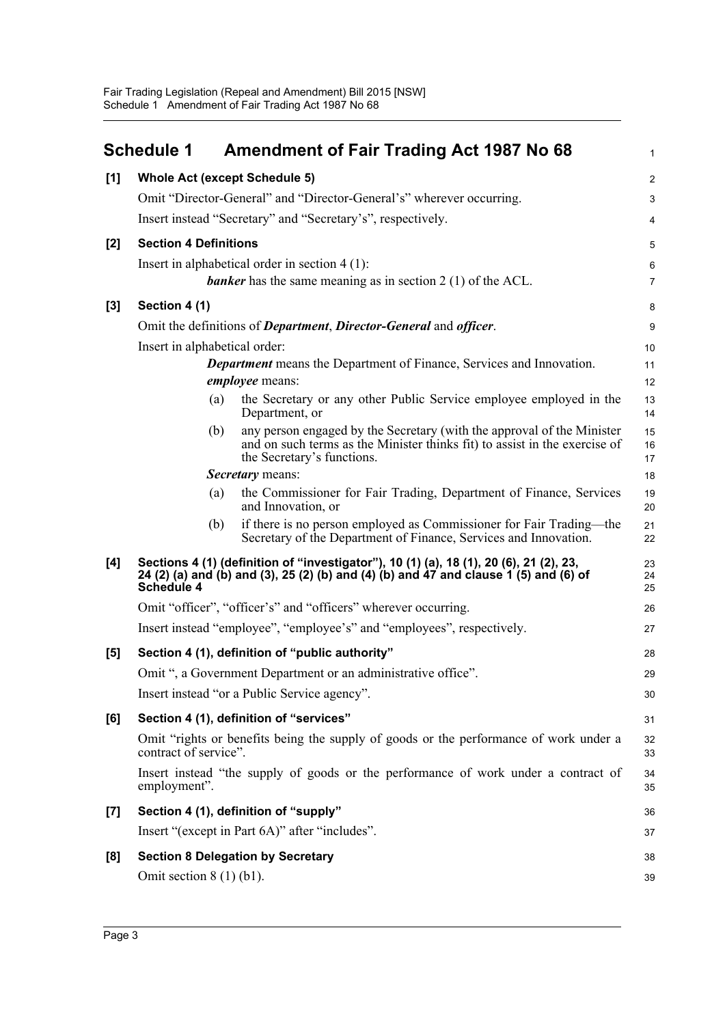<span id="page-5-0"></span>

|       | <b>Schedule 1</b>                    | <b>Amendment of Fair Trading Act 1987 No 68</b>                                                                                                                                    | $\mathbf{1}$     |
|-------|--------------------------------------|------------------------------------------------------------------------------------------------------------------------------------------------------------------------------------|------------------|
| [1]   | <b>Whole Act (except Schedule 5)</b> |                                                                                                                                                                                    | $\overline{c}$   |
|       |                                      | Omit "Director-General" and "Director-General's" wherever occurring.                                                                                                               | 3                |
|       |                                      | Insert instead "Secretary" and "Secretary's", respectively.                                                                                                                        | $\overline{4}$   |
| [2]   | <b>Section 4 Definitions</b>         |                                                                                                                                                                                    | 5                |
|       |                                      | Insert in alphabetical order in section $4(1)$ :                                                                                                                                   | 6                |
|       |                                      | <b>banker</b> has the same meaning as in section $2(1)$ of the ACL.                                                                                                                | $\overline{7}$   |
| $[3]$ | Section 4 (1)                        |                                                                                                                                                                                    | 8                |
|       |                                      | Omit the definitions of Department, Director-General and officer.                                                                                                                  | $\boldsymbol{9}$ |
|       | Insert in alphabetical order:        |                                                                                                                                                                                    | 10               |
|       |                                      | <b>Department</b> means the Department of Finance, Services and Innovation.<br><i>employee</i> means:                                                                              | 11<br>12         |
|       | (a)                                  | the Secretary or any other Public Service employee employed in the<br>Department, or                                                                                               | 13<br>14         |
|       | (b)                                  | any person engaged by the Secretary (with the approval of the Minister<br>and on such terms as the Minister thinks fit) to assist in the exercise of<br>the Secretary's functions. | 15<br>16<br>17   |
|       |                                      | <b>Secretary</b> means:                                                                                                                                                            | 18               |
|       | (a)                                  | the Commissioner for Fair Trading, Department of Finance, Services<br>and Innovation, or                                                                                           | 19<br>20         |
|       | (b)                                  | if there is no person employed as Commissioner for Fair Trading-the<br>Secretary of the Department of Finance, Services and Innovation.                                            | 21<br>22         |
| [4]   | <b>Schedule 4</b>                    | Sections 4 (1) (definition of "investigator"), 10 (1) (a), 18 (1), 20 (6), 21 (2), 23,<br>24 (2) (a) and (b) and (3), 25 (2) (b) and (4) (b) and 47 and clause 1 (5) and (6) of    | 23<br>24<br>25   |
|       |                                      | Omit "officer", "officer's" and "officers" wherever occurring.                                                                                                                     | 26               |
|       |                                      | Insert instead "employee", "employee's" and "employees", respectively.                                                                                                             | 27               |
| [5]   |                                      | Section 4 (1), definition of "public authority"                                                                                                                                    | 28               |
|       |                                      | Omit ", a Government Department or an administrative office".                                                                                                                      | 29               |
|       |                                      | Insert instead "or a Public Service agency".                                                                                                                                       | 30               |
| [6]   |                                      | Section 4 (1), definition of "services"                                                                                                                                            | 31               |
|       | contract of service".                | Omit "rights or benefits being the supply of goods or the performance of work under a                                                                                              | 32<br>33         |
|       | employment".                         | Insert instead "the supply of goods or the performance of work under a contract of                                                                                                 | 34<br>35         |
| $[7]$ |                                      | Section 4 (1), definition of "supply"                                                                                                                                              | 36               |
|       |                                      | Insert "(except in Part 6A)" after "includes".                                                                                                                                     | 37               |
| [8]   |                                      | <b>Section 8 Delegation by Secretary</b>                                                                                                                                           | 38               |
|       | Omit section $8(1)(b1)$ .            |                                                                                                                                                                                    | 39               |
|       |                                      |                                                                                                                                                                                    |                  |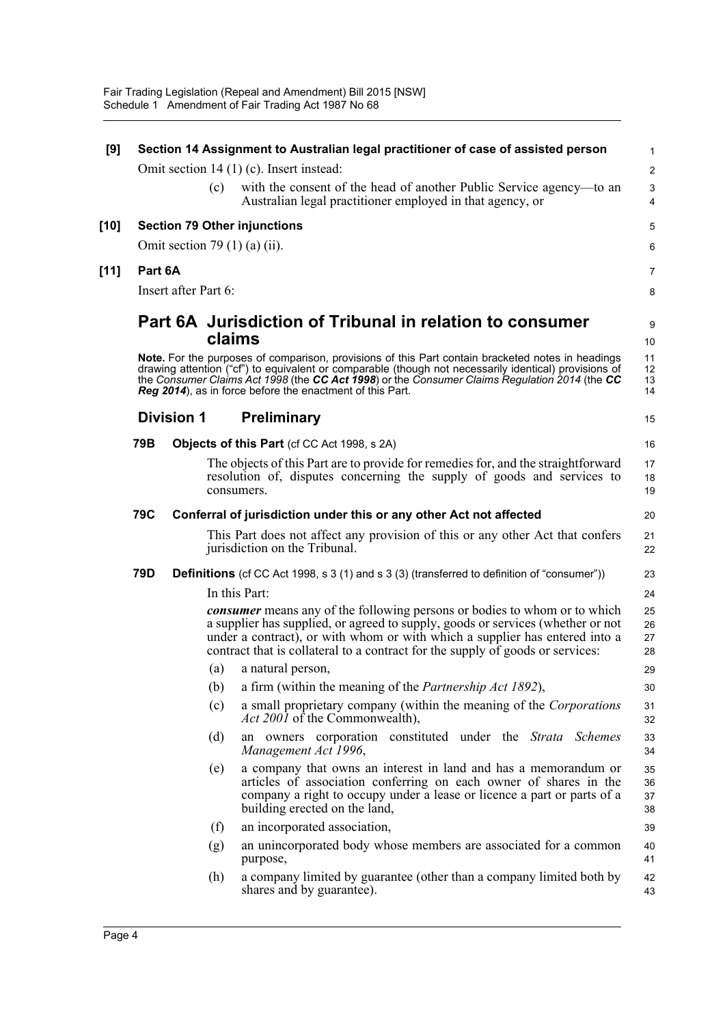| [9]    |         |                      |        | Section 14 Assignment to Australian legal practitioner of case of assisted person                                                                                                                                                                                                                                                                                        | 1                       |
|--------|---------|----------------------|--------|--------------------------------------------------------------------------------------------------------------------------------------------------------------------------------------------------------------------------------------------------------------------------------------------------------------------------------------------------------------------------|-------------------------|
|        |         |                      |        | Omit section $14(1)(c)$ . Insert instead:                                                                                                                                                                                                                                                                                                                                | $\overline{\mathbf{c}}$ |
|        |         |                      | (c)    | with the consent of the head of another Public Service agency—to an<br>Australian legal practitioner employed in that agency, or                                                                                                                                                                                                                                         | 3<br>4                  |
| [10]   |         |                      |        | <b>Section 79 Other injunctions</b>                                                                                                                                                                                                                                                                                                                                      | 5                       |
|        |         |                      |        | Omit section 79 $(1)$ $(a)$ $(ii)$ .                                                                                                                                                                                                                                                                                                                                     | 6                       |
| $[11]$ | Part 6A |                      |        |                                                                                                                                                                                                                                                                                                                                                                          | 7                       |
|        |         | Insert after Part 6: |        |                                                                                                                                                                                                                                                                                                                                                                          | 8                       |
|        |         |                      | claims | Part 6A Jurisdiction of Tribunal in relation to consumer                                                                                                                                                                                                                                                                                                                 | 9<br>10                 |
|        |         |                      |        | Note. For the purposes of comparison, provisions of this Part contain bracketed notes in headings<br>drawing attention ("cf") to equivalent or comparable (though not necessarily identical) provisions of<br>the Consumer Claims Act 1998 (the CC Act 1998) or the Consumer Claims Regulation 2014 (the CC<br>Reg 2014), as in force before the enactment of this Part. | 11<br>12<br>13<br>14    |
|        |         | <b>Division 1</b>    |        | <b>Preliminary</b>                                                                                                                                                                                                                                                                                                                                                       | 15                      |
|        | 79B     |                      |        | <b>Objects of this Part</b> (cf CC Act 1998, s 2A)                                                                                                                                                                                                                                                                                                                       | 16                      |
|        |         |                      |        | The objects of this Part are to provide for remedies for, and the straightforward<br>resolution of, disputes concerning the supply of goods and services to<br>consumers.                                                                                                                                                                                                | 17<br>18<br>19          |
|        | 79C     |                      |        | Conferral of jurisdiction under this or any other Act not affected                                                                                                                                                                                                                                                                                                       | 20                      |
|        |         |                      |        | This Part does not affect any provision of this or any other Act that confers<br>jurisdiction on the Tribunal.                                                                                                                                                                                                                                                           | 21<br>22                |
|        | 79D     |                      |        | <b>Definitions</b> (cf CC Act 1998, s 3 (1) and s 3 (3) (transferred to definition of "consumer"))                                                                                                                                                                                                                                                                       | 23                      |
|        |         |                      |        | In this Part:                                                                                                                                                                                                                                                                                                                                                            | 24                      |
|        |         |                      |        | <b><i>consumer</i></b> means any of the following persons or bodies to whom or to which<br>a supplier has supplied, or agreed to supply, goods or services (whether or not<br>under a contract), or with whom or with which a supplier has entered into a<br>contract that is collateral to a contract for the supply of goods or services:                              | 25<br>26<br>27<br>28    |
|        |         |                      | (a)    | a natural person,                                                                                                                                                                                                                                                                                                                                                        | 29                      |
|        |         |                      |        | (b) a firm (within the meaning of the <i>Partnership Act 1892</i> ),                                                                                                                                                                                                                                                                                                     | 30                      |
|        |         |                      | (c)    | a small proprietary company (within the meaning of the Corporations<br>Act 2001 of the Commonwealth),                                                                                                                                                                                                                                                                    | 31<br>32                |
|        |         |                      | (d)    | an owners corporation constituted under the Strata Schemes<br>Management Act 1996,                                                                                                                                                                                                                                                                                       | 33<br>34                |
|        |         |                      | (e)    | a company that owns an interest in land and has a memorandum or<br>articles of association conferring on each owner of shares in the<br>company a right to occupy under a lease or licence a part or parts of a<br>building erected on the land,                                                                                                                         | 35<br>36<br>37<br>38    |
|        |         |                      | (f)    | an incorporated association,                                                                                                                                                                                                                                                                                                                                             | 39                      |
|        |         |                      | (g)    | an unincorporated body whose members are associated for a common<br>purpose,                                                                                                                                                                                                                                                                                             | 40<br>41                |
|        |         |                      | (h)    | a company limited by guarantee (other than a company limited both by<br>shares and by guarantee).                                                                                                                                                                                                                                                                        | 42<br>43                |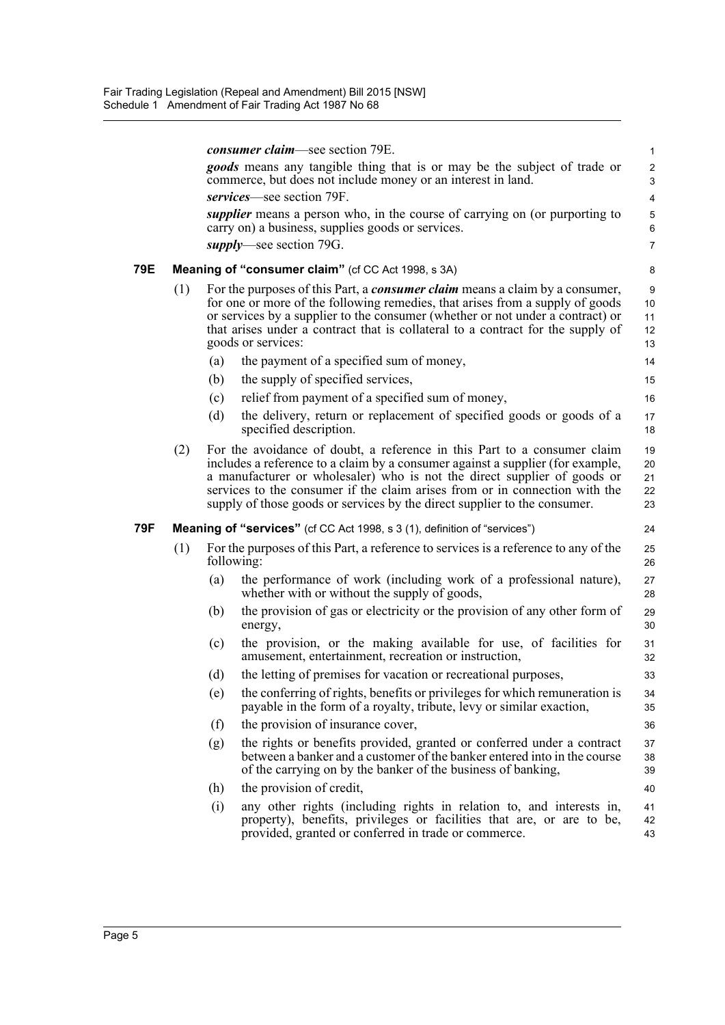|     |     |     | <i>consumer claim—see section 79E.</i>                                                                                                                                                                                                                                                                                                                                                             | $\mathbf{1}$               |
|-----|-----|-----|----------------------------------------------------------------------------------------------------------------------------------------------------------------------------------------------------------------------------------------------------------------------------------------------------------------------------------------------------------------------------------------------------|----------------------------|
|     |     |     | <i>goods</i> means any tangible thing that is or may be the subject of trade or<br>commerce, but does not include money or an interest in land.                                                                                                                                                                                                                                                    | $\overline{c}$<br>3        |
|     |     |     | services—see section 79F.                                                                                                                                                                                                                                                                                                                                                                          | $\overline{4}$             |
|     |     |     | <i>supplier</i> means a person who, in the course of carrying on (or purporting to<br>carry on) a business, supplies goods or services.                                                                                                                                                                                                                                                            | 5<br>$\,6\,$               |
|     |     |     | <i>supply</i> —see section 79G.                                                                                                                                                                                                                                                                                                                                                                    | $\overline{7}$             |
| 79E |     |     | Meaning of "consumer claim" (cf CC Act 1998, s 3A)                                                                                                                                                                                                                                                                                                                                                 | 8                          |
|     | (1) |     | For the purposes of this Part, a <i>consumer claim</i> means a claim by a consumer,<br>for one or more of the following remedies, that arises from a supply of goods<br>or services by a supplier to the consumer (whether or not under a contract) or<br>that arises under a contract that is collateral to a contract for the supply of<br>goods or services:                                    | 9<br>10<br>11<br>12<br>13  |
|     |     | (a) | the payment of a specified sum of money,                                                                                                                                                                                                                                                                                                                                                           | 14                         |
|     |     | (b) | the supply of specified services,                                                                                                                                                                                                                                                                                                                                                                  | 15                         |
|     |     | (c) | relief from payment of a specified sum of money,                                                                                                                                                                                                                                                                                                                                                   | 16                         |
|     |     | (d) | the delivery, return or replacement of specified goods or goods of a<br>specified description.                                                                                                                                                                                                                                                                                                     | 17<br>18                   |
|     | (2) |     | For the avoidance of doubt, a reference in this Part to a consumer claim<br>includes a reference to a claim by a consumer against a supplier (for example,<br>a manufacturer or wholesaler) who is not the direct supplier of goods or<br>services to the consumer if the claim arises from or in connection with the<br>supply of those goods or services by the direct supplier to the consumer. | 19<br>20<br>21<br>22<br>23 |
| 79F |     |     | <b>Meaning of "services"</b> (cf CC Act 1998, s 3 (1), definition of "services")                                                                                                                                                                                                                                                                                                                   | 24                         |
|     | (1) |     | For the purposes of this Part, a reference to services is a reference to any of the<br>following:                                                                                                                                                                                                                                                                                                  | 25<br>26                   |
|     |     | (a) | the performance of work (including work of a professional nature),<br>whether with or without the supply of goods,                                                                                                                                                                                                                                                                                 | 27<br>28                   |
|     |     | (b) | the provision of gas or electricity or the provision of any other form of<br>energy,                                                                                                                                                                                                                                                                                                               | 29<br>30                   |
|     |     | (c) | the provision, or the making available for use, of facilities for<br>amusement, entertainment, recreation or instruction,                                                                                                                                                                                                                                                                          | 31<br>32                   |
|     |     | (d) | the letting of premises for vacation or recreational purposes,                                                                                                                                                                                                                                                                                                                                     | 33                         |
|     |     | (e) | the conferring of rights, benefits or privileges for which remuneration is<br>payable in the form of a royalty, tribute, levy or similar exaction,                                                                                                                                                                                                                                                 | 34<br>35                   |
|     |     | (f) | the provision of insurance cover,                                                                                                                                                                                                                                                                                                                                                                  | 36                         |
|     |     | (g) | the rights or benefits provided, granted or conferred under a contract<br>between a banker and a customer of the banker entered into in the course<br>of the carrying on by the banker of the business of banking,                                                                                                                                                                                 | 37<br>38<br>39             |
|     |     | (h) | the provision of credit,                                                                                                                                                                                                                                                                                                                                                                           | 40                         |
|     |     | (i) | any other rights (including rights in relation to, and interests in,<br>property), benefits, privileges or facilities that are, or are to be,<br>provided, granted or conferred in trade or commerce.                                                                                                                                                                                              | 41<br>42<br>43             |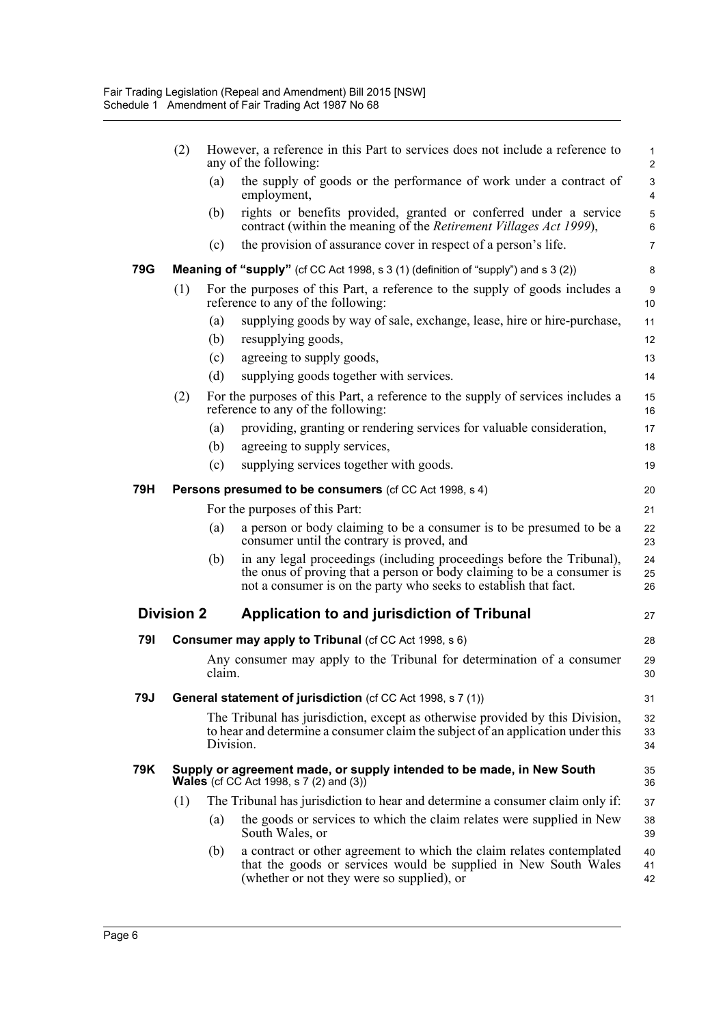|            | (2)               |           | However, a reference in this Part to services does not include a reference to<br>any of the following:                                                                                                              | $\mathbf{1}$<br>$\overline{c}$ |
|------------|-------------------|-----------|---------------------------------------------------------------------------------------------------------------------------------------------------------------------------------------------------------------------|--------------------------------|
|            |                   | (a)       | the supply of goods or the performance of work under a contract of<br>employment,                                                                                                                                   | $\ensuremath{\mathsf{3}}$<br>4 |
|            |                   | (b)       | rights or benefits provided, granted or conferred under a service<br>contract (within the meaning of the <i>Retirement Villages Act 1999</i> ),                                                                     | 5<br>6                         |
|            |                   | (c)       | the provision of assurance cover in respect of a person's life.                                                                                                                                                     | $\overline{7}$                 |
| <b>79G</b> |                   |           | <b>Meaning of "supply"</b> (cf CC Act 1998, s 3 (1) (definition of "supply") and s 3 (2))                                                                                                                           | 8                              |
|            | (1)               |           | For the purposes of this Part, a reference to the supply of goods includes a<br>reference to any of the following:                                                                                                  | 9<br>10                        |
|            |                   | (a)       | supplying goods by way of sale, exchange, lease, hire or hire-purchase,                                                                                                                                             | 11                             |
|            |                   | (b)       | resupplying goods,                                                                                                                                                                                                  | 12                             |
|            |                   | (c)       | agreeing to supply goods,                                                                                                                                                                                           | 13                             |
|            |                   | (d)       | supplying goods together with services.                                                                                                                                                                             | 14                             |
|            | (2)               |           | For the purposes of this Part, a reference to the supply of services includes a<br>reference to any of the following:                                                                                               | 15<br>16                       |
|            |                   | (a)       | providing, granting or rendering services for valuable consideration,                                                                                                                                               | 17                             |
|            |                   | (b)       | agreeing to supply services,                                                                                                                                                                                        | 18                             |
|            |                   | (c)       | supplying services together with goods.                                                                                                                                                                             | 19                             |
| 79H        |                   |           | <b>Persons presumed to be consumers (cf CC Act 1998, s 4)</b>                                                                                                                                                       | 20                             |
|            |                   |           | For the purposes of this Part:                                                                                                                                                                                      | 21                             |
|            |                   | (a)       | a person or body claiming to be a consumer is to be presumed to be a<br>consumer until the contrary is proved, and                                                                                                  | 22<br>23                       |
|            |                   | (b)       | in any legal proceedings (including proceedings before the Tribunal),<br>the onus of proving that a person or body claiming to be a consumer is<br>not a consumer is on the party who seeks to establish that fact. | 24<br>25<br>26                 |
|            | <b>Division 2</b> |           | Application to and jurisdiction of Tribunal                                                                                                                                                                         | 27                             |
| 791        |                   |           | <b>Consumer may apply to Tribunal (cf CC Act 1998, s 6)</b>                                                                                                                                                         | 28                             |
|            |                   | claim.    | Any consumer may apply to the Tribunal for determination of a consumer                                                                                                                                              | 29<br>30                       |
| 79J        |                   |           | <b>General statement of jurisdiction</b> (cf CC Act 1998, s 7 (1))                                                                                                                                                  | 31                             |
|            |                   | Division. | The Tribunal has jurisdiction, except as otherwise provided by this Division,<br>to hear and determine a consumer claim the subject of an application under this                                                    | 32<br>33<br>34                 |
| 79K        |                   |           | Supply or agreement made, or supply intended to be made, in New South<br><b>Wales</b> (cf CC Act 1998, s 7 (2) and (3))                                                                                             | 35<br>36                       |
|            | (1)               |           | The Tribunal has jurisdiction to hear and determine a consumer claim only if:                                                                                                                                       | 37                             |
|            |                   | (a)       | the goods or services to which the claim relates were supplied in New<br>South Wales, or                                                                                                                            | 38<br>39                       |
|            |                   | (b)       | a contract or other agreement to which the claim relates contemplated<br>that the goods or services would be supplied in New South Wales<br>(whether or not they were so supplied), or                              | 40<br>41<br>42                 |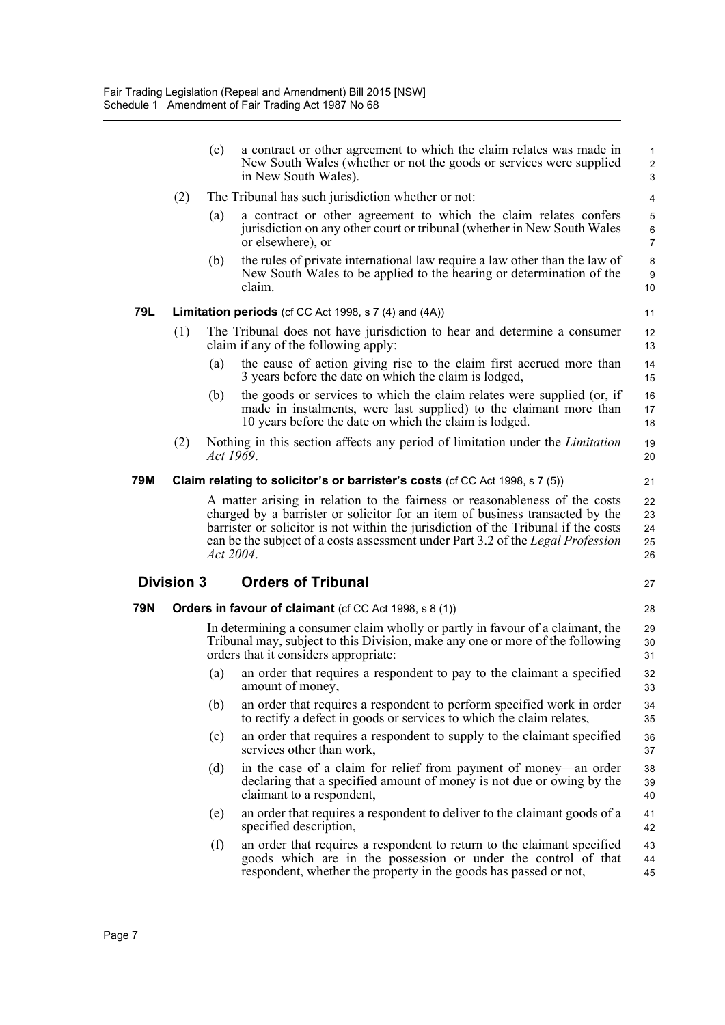|     |                   | (c)       | a contract or other agreement to which the claim relates was made in<br>New South Wales (whether or not the goods or services were supplied<br>in New South Wales).                                                                                                                                                                                | $\mathbf{1}$<br>$\overline{2}$<br>$\mathfrak{S}$ |
|-----|-------------------|-----------|----------------------------------------------------------------------------------------------------------------------------------------------------------------------------------------------------------------------------------------------------------------------------------------------------------------------------------------------------|--------------------------------------------------|
|     | (2)               |           | The Tribunal has such jurisdiction whether or not:                                                                                                                                                                                                                                                                                                 | $\overline{4}$                                   |
|     |                   | (a)       | a contract or other agreement to which the claim relates confers<br>jurisdiction on any other court or tribunal (whether in New South Wales<br>or elsewhere), or                                                                                                                                                                                   | 5<br>6<br>$\overline{7}$                         |
|     |                   | (b)       | the rules of private international law require a law other than the law of<br>New South Wales to be applied to the hearing or determination of the<br>claim.                                                                                                                                                                                       | 8<br>9<br>10                                     |
| 79L |                   |           | Limitation periods (cf CC Act 1998, s 7 (4) and (4A))                                                                                                                                                                                                                                                                                              | 11                                               |
|     | (1)               |           | The Tribunal does not have jurisdiction to hear and determine a consumer<br>claim if any of the following apply:                                                                                                                                                                                                                                   | 12<br>13                                         |
|     |                   | (a)       | the cause of action giving rise to the claim first accrued more than<br>3 years before the date on which the claim is lodged,                                                                                                                                                                                                                      | 14<br>15                                         |
|     |                   | (b)       | the goods or services to which the claim relates were supplied (or, if<br>made in instalments, were last supplied) to the claimant more than<br>10 years before the date on which the claim is lodged.                                                                                                                                             | 16<br>17<br>18                                   |
|     | (2)               | Act 1969. | Nothing in this section affects any period of limitation under the <i>Limitation</i>                                                                                                                                                                                                                                                               | 19<br>20                                         |
| 79M |                   |           | Claim relating to solicitor's or barrister's costs (cf CC Act 1998, s 7 (5))                                                                                                                                                                                                                                                                       | 21                                               |
|     |                   |           | A matter arising in relation to the fairness or reasonableness of the costs<br>charged by a barrister or solicitor for an item of business transacted by the<br>barrister or solicitor is not within the jurisdiction of the Tribunal if the costs<br>can be the subject of a costs assessment under Part 3.2 of the Legal Profession<br>Act 2004. | 22<br>23<br>24<br>25                             |
|     |                   |           |                                                                                                                                                                                                                                                                                                                                                    | 26                                               |
|     | <b>Division 3</b> |           | <b>Orders of Tribunal</b>                                                                                                                                                                                                                                                                                                                          | 27                                               |
| 79N |                   |           | <b>Orders in favour of claimant</b> (cf CC Act 1998, s 8 (1))                                                                                                                                                                                                                                                                                      | 28                                               |
|     |                   |           | In determining a consumer claim wholly or partly in favour of a claimant, the<br>Tribunal may, subject to this Division, make any one or more of the following<br>orders that it considers appropriate:                                                                                                                                            | 29<br>30<br>31                                   |
|     |                   | (a)       | an order that requires a respondent to pay to the claimant a specified<br>amount of money,                                                                                                                                                                                                                                                         | 32<br>33                                         |
|     |                   | (b)       | an order that requires a respondent to perform specified work in order<br>to rectify a defect in goods or services to which the claim relates,                                                                                                                                                                                                     | 34<br>35                                         |
|     |                   | (c)       | an order that requires a respondent to supply to the claimant specified<br>services other than work,                                                                                                                                                                                                                                               | 36<br>37                                         |
|     |                   | (d)       | in the case of a claim for relief from payment of money—an order<br>declaring that a specified amount of money is not due or owing by the<br>claimant to a respondent,                                                                                                                                                                             | 38<br>39<br>40                                   |
|     |                   | (e)       | an order that requires a respondent to deliver to the claimant goods of a<br>specified description,                                                                                                                                                                                                                                                | 41<br>42                                         |
|     |                   | (f)       | an order that requires a respondent to return to the claimant specified<br>goods which are in the possession or under the control of that<br>respondent, whether the property in the goods has passed or not,                                                                                                                                      | 43<br>44<br>45                                   |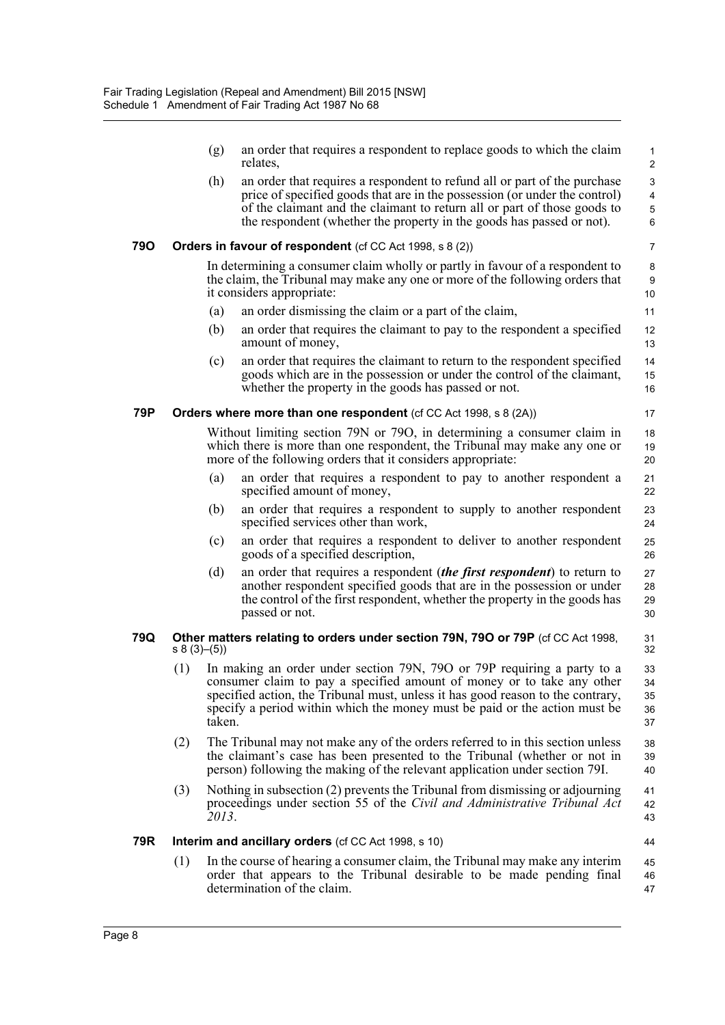|     |            | (g)    | an order that requires a respondent to replace goods to which the claim<br>relates,                                                                                                                                                                                                                                | $\mathbf{1}$<br>2          |
|-----|------------|--------|--------------------------------------------------------------------------------------------------------------------------------------------------------------------------------------------------------------------------------------------------------------------------------------------------------------------|----------------------------|
|     |            | (h)    | an order that requires a respondent to refund all or part of the purchase<br>price of specified goods that are in the possession (or under the control)<br>of the claimant and the claimant to return all or part of those goods to<br>the respondent (whether the property in the goods has passed or not).       | 3<br>4<br>5<br>6           |
| 790 |            |        | Orders in favour of respondent (cf CC Act 1998, s 8 (2))                                                                                                                                                                                                                                                           | $\overline{7}$             |
|     |            |        | In determining a consumer claim wholly or partly in favour of a respondent to<br>the claim, the Tribunal may make any one or more of the following orders that<br>it considers appropriate:                                                                                                                        | 8<br>9<br>10               |
|     |            | (a)    | an order dismissing the claim or a part of the claim,                                                                                                                                                                                                                                                              | 11                         |
|     |            | (b)    | an order that requires the claimant to pay to the respondent a specified<br>amount of money,                                                                                                                                                                                                                       | 12<br>13                   |
|     |            | (c)    | an order that requires the claimant to return to the respondent specified<br>goods which are in the possession or under the control of the claimant,<br>whether the property in the goods has passed or not.                                                                                                       | 14<br>15<br>16             |
| 79P |            |        | <b>Orders where more than one respondent</b> (cf CC Act 1998, s 8 (2A))                                                                                                                                                                                                                                            | 17                         |
|     |            |        | Without limiting section 79N or 79O, in determining a consumer claim in<br>which there is more than one respondent, the Tribunal may make any one or<br>more of the following orders that it considers appropriate:                                                                                                | 18<br>19<br>20             |
|     |            | (a)    | an order that requires a respondent to pay to another respondent a<br>specified amount of money,                                                                                                                                                                                                                   | 21<br>22                   |
|     |            | (b)    | an order that requires a respondent to supply to another respondent<br>specified services other than work,                                                                                                                                                                                                         | 23<br>24                   |
|     |            | (c)    | an order that requires a respondent to deliver to another respondent<br>goods of a specified description,                                                                                                                                                                                                          | 25<br>26                   |
|     |            | (d)    | an order that requires a respondent <i>(the first respondent)</i> to return to<br>another respondent specified goods that are in the possession or under<br>the control of the first respondent, whether the property in the goods has<br>passed or not.                                                           | 27<br>28<br>29<br>30       |
| 79Q | s 8(3)–(5) |        | Other matters relating to orders under section 79N, 79O or 79P (cf CC Act 1998,                                                                                                                                                                                                                                    | 31<br>32                   |
|     | (1)        | taken. | In making an order under section 79N, 79O or 79P requiring a party to a<br>consumer claim to pay a specified amount of money or to take any other<br>specified action, the Tribunal must, unless it has good reason to the contrary,<br>specify a period within which the money must be paid or the action must be | 33<br>34<br>35<br>36<br>37 |
|     | (2)        |        | The Tribunal may not make any of the orders referred to in this section unless<br>the claimant's case has been presented to the Tribunal (whether or not in<br>person) following the making of the relevant application under section 79I.                                                                         | 38<br>39<br>40             |
|     | (3)        | 2013.  | Nothing in subsection (2) prevents the Tribunal from dismissing or adjourning<br>proceedings under section 55 of the Civil and Administrative Tribunal Act                                                                                                                                                         | 41<br>42<br>43             |
| 79R |            |        | Interim and ancillary orders (cf CC Act 1998, s 10)                                                                                                                                                                                                                                                                | 44                         |
|     | (1)        |        | In the course of hearing a consumer claim, the Tribunal may make any interim<br>order that appears to the Tribunal desirable to be made pending final<br>determination of the claim.                                                                                                                               | 45<br>46<br>47             |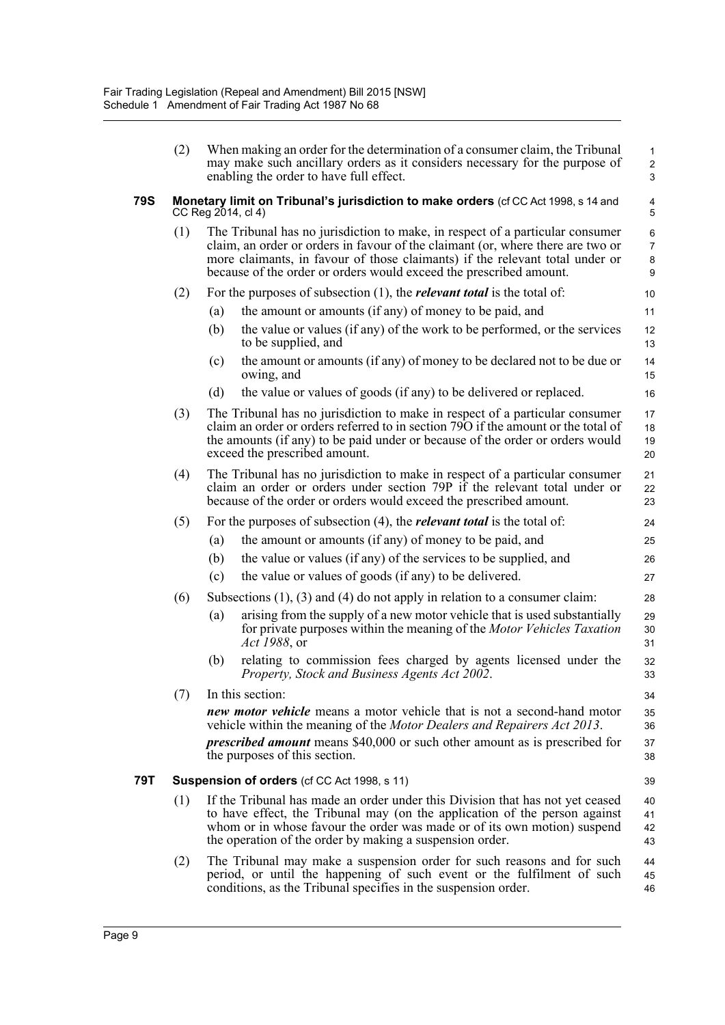|     | (2) |                    | When making an order for the determination of a consumer claim, the Tribunal<br>may make such ancillary orders as it considers necessary for the purpose of<br>enabling the order to have full effect.                                                                                                                 | $\mathbf{1}$<br>$\overline{c}$<br>3          |
|-----|-----|--------------------|------------------------------------------------------------------------------------------------------------------------------------------------------------------------------------------------------------------------------------------------------------------------------------------------------------------------|----------------------------------------------|
| 79S |     | CC Reg 2014, cl 4) | Monetary limit on Tribunal's jurisdiction to make orders (cf CC Act 1998, s 14 and                                                                                                                                                                                                                                     | 4<br>5                                       |
|     | (1) |                    | The Tribunal has no jurisdiction to make, in respect of a particular consumer<br>claim, an order or orders in favour of the claimant (or, where there are two or<br>more claimants, in favour of those claimants) if the relevant total under or<br>because of the order or orders would exceed the prescribed amount. | 6<br>$\overline{7}$<br>8<br>$\boldsymbol{9}$ |
|     | (2) |                    | For the purposes of subsection $(1)$ , the <i>relevant total</i> is the total of:                                                                                                                                                                                                                                      | 10                                           |
|     |     | (a)                | the amount or amounts (if any) of money to be paid, and                                                                                                                                                                                                                                                                | 11                                           |
|     |     | (b)                | the value or values (if any) of the work to be performed, or the services<br>to be supplied, and                                                                                                                                                                                                                       | 12<br>13                                     |
|     |     | (c)                | the amount or amounts (if any) of money to be declared not to be due or<br>owing, and                                                                                                                                                                                                                                  | 14<br>15                                     |
|     |     | (d)                | the value or values of goods (if any) to be delivered or replaced.                                                                                                                                                                                                                                                     | 16                                           |
|     | (3) |                    | The Tribunal has no jurisdiction to make in respect of a particular consumer<br>claim an order or orders referred to in section 790 if the amount or the total of<br>the amounts (if any) to be paid under or because of the order or orders would<br>exceed the prescribed amount.                                    | 17<br>18<br>19<br>20                         |
|     | (4) |                    | The Tribunal has no jurisdiction to make in respect of a particular consumer<br>claim an order or orders under section 79P if the relevant total under or<br>because of the order or orders would exceed the prescribed amount.                                                                                        | 21<br>22<br>23                               |
|     | (5) |                    | For the purposes of subsection $(4)$ , the <i>relevant total</i> is the total of:                                                                                                                                                                                                                                      | 24                                           |
|     |     | (a)                | the amount or amounts (if any) of money to be paid, and                                                                                                                                                                                                                                                                | 25                                           |
|     |     | (b)                | the value or values (if any) of the services to be supplied, and                                                                                                                                                                                                                                                       | 26                                           |
|     |     | (c)                | the value or values of goods (if any) to be delivered.                                                                                                                                                                                                                                                                 | 27                                           |
|     | (6) |                    | Subsections $(1)$ , $(3)$ and $(4)$ do not apply in relation to a consumer claim:                                                                                                                                                                                                                                      | 28                                           |
|     |     | (a)                | arising from the supply of a new motor vehicle that is used substantially<br>for private purposes within the meaning of the <i>Motor Vehicles Taxation</i><br>Act 1988, or                                                                                                                                             | 29<br>30<br>31                               |
|     |     | (b)                | relating to commission fees charged by agents licensed under the<br>Property, Stock and Business Agents Act 2002.                                                                                                                                                                                                      | 32<br>33                                     |
|     | (7) |                    | In this section:                                                                                                                                                                                                                                                                                                       | 34                                           |
|     |     |                    | <i>new motor vehicle</i> means a motor vehicle that is not a second-hand motor<br>vehicle within the meaning of the <i>Motor Dealers and Repairers Act 2013</i> .                                                                                                                                                      | 35<br>36                                     |
|     |     |                    | <i>prescribed amount</i> means \$40,000 or such other amount as is prescribed for<br>the purposes of this section.                                                                                                                                                                                                     | 37<br>38                                     |
| 79T |     |                    | <b>Suspension of orders (cf CC Act 1998, s 11)</b>                                                                                                                                                                                                                                                                     | 39                                           |
|     | (1) |                    | If the Tribunal has made an order under this Division that has not yet ceased<br>to have effect, the Tribunal may (on the application of the person against<br>whom or in whose favour the order was made or of its own motion) suspend<br>the operation of the order by making a suspension order.                    | 40<br>41<br>42<br>43                         |
|     | (2) |                    | The Tribunal may make a suspension order for such reasons and for such<br>period, or until the happening of such event or the fulfilment of such<br>conditions, as the Tribunal specifies in the suspension order.                                                                                                     | 44<br>45<br>46                               |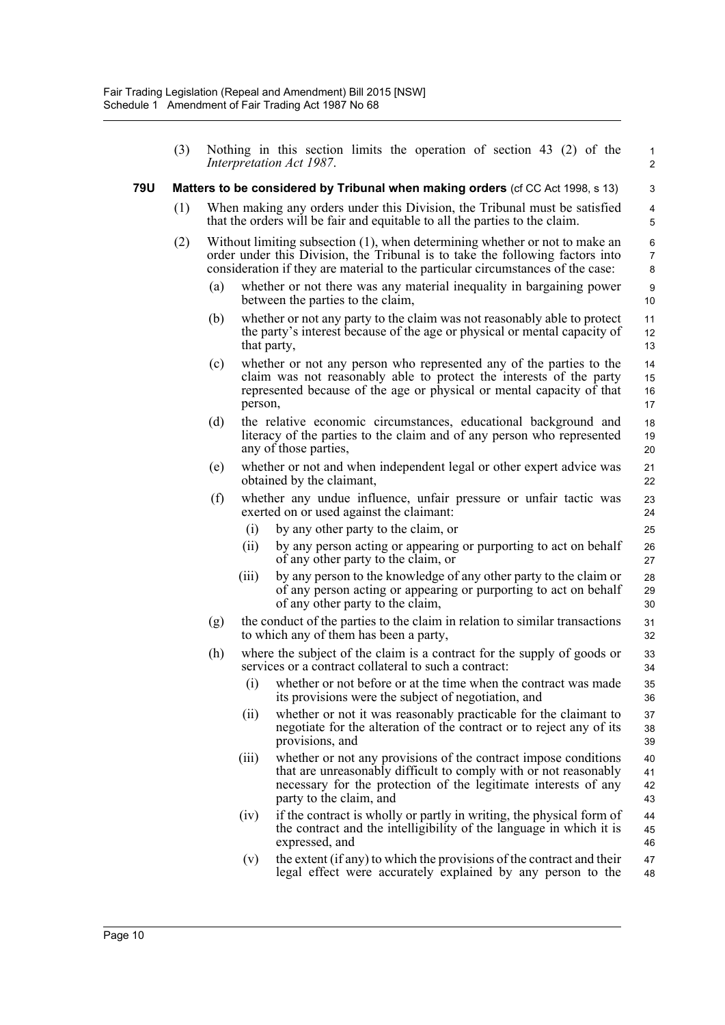(3) Nothing in this section limits the operation of section 43 (2) of the *Interpretation Act 1987*.

1 2

42 43

#### **79U Matters to be considered by Tribunal when making orders** (cf CC Act 1998, s 13)

- (1) When making any orders under this Division, the Tribunal must be satisfied that the orders will be fair and equitable to all the parties to the claim.
- (2) Without limiting subsection (1), when determining whether or not to make an order under this Division, the Tribunal is to take the following factors into consideration if they are material to the particular circumstances of the case:
	- (a) whether or not there was any material inequality in bargaining power between the parties to the claim,
	- (b) whether or not any party to the claim was not reasonably able to protect the party's interest because of the age or physical or mental capacity of that party,
	- (c) whether or not any person who represented any of the parties to the claim was not reasonably able to protect the interests of the party represented because of the age or physical or mental capacity of that person,
	- (d) the relative economic circumstances, educational background and literacy of the parties to the claim and of any person who represented any of those parties,
	- (e) whether or not and when independent legal or other expert advice was obtained by the claimant,
	- (f) whether any undue influence, unfair pressure or unfair tactic was exerted on or used against the claimant:
		- (i) by any other party to the claim, or
		- (ii) by any person acting or appearing or purporting to act on behalf of any other party to the claim, or
		- (iii) by any person to the knowledge of any other party to the claim or of any person acting or appearing or purporting to act on behalf of any other party to the claim,
	- (g) the conduct of the parties to the claim in relation to similar transactions to which any of them has been a party,
	- (h) where the subject of the claim is a contract for the supply of goods or services or a contract collateral to such a contract:
		- (i) whether or not before or at the time when the contract was made its provisions were the subject of negotiation, and
		- (ii) whether or not it was reasonably practicable for the claimant to negotiate for the alteration of the contract or to reject any of its provisions, and
		- (iii) whether or not any provisions of the contract impose conditions that are unreasonably difficult to comply with or not reasonably necessary for the protection of the legitimate interests of any party to the claim, and 41
		- (iv) if the contract is wholly or partly in writing, the physical form of the contract and the intelligibility of the language in which it is expressed, and 44 45 46
		- $(v)$  the extent (if any) to which the provisions of the contract and their legal effect were accurately explained by any person to the 47 48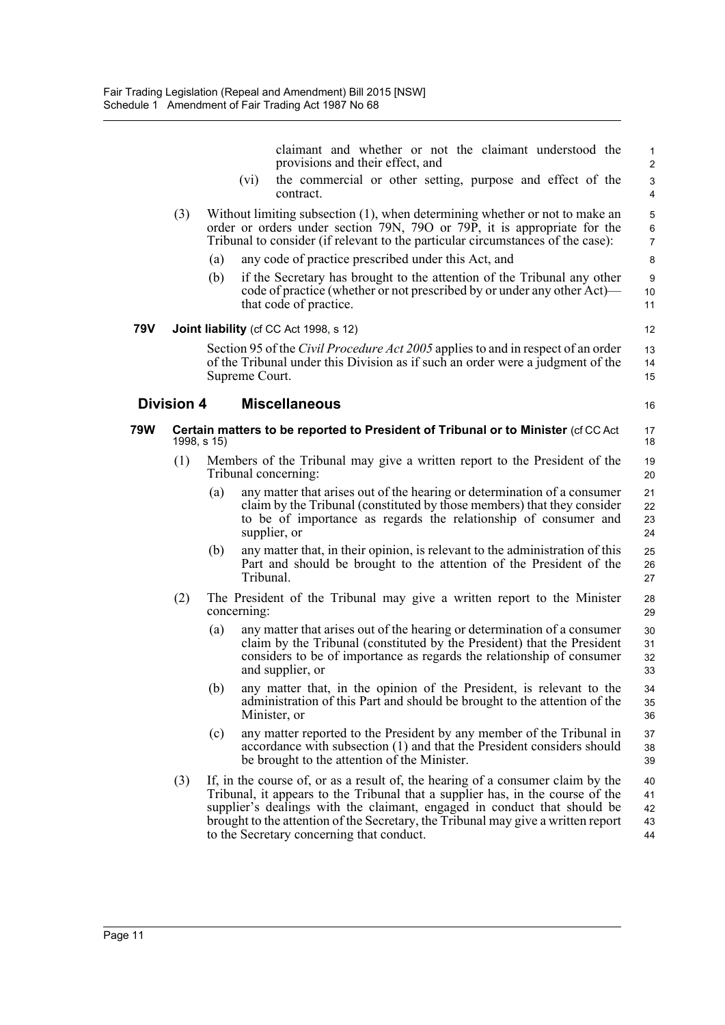claimant and whether or not the claimant understood the provisions and their effect, and (vi) the commercial or other setting, purpose and effect of the contract. (3) Without limiting subsection (1), when determining whether or not to make an order or orders under section 79N, 79O or 79P, it is appropriate for the Tribunal to consider (if relevant to the particular circumstances of the case): (a) any code of practice prescribed under this Act, and (b) if the Secretary has brought to the attention of the Tribunal any other code of practice (whether or not prescribed by or under any other Act) that code of practice. **79V Joint liability** (cf CC Act 1998, s 12) Section 95 of the *Civil Procedure Act 2005* applies to and in respect of an order of the Tribunal under this Division as if such an order were a judgment of the Supreme Court. **Division 4 Miscellaneous 79W Certain matters to be reported to President of Tribunal or to Minister** (cf CC Act 1998, s 15) (1) Members of the Tribunal may give a written report to the President of the Tribunal concerning: (a) any matter that arises out of the hearing or determination of a consumer claim by the Tribunal (constituted by those members) that they consider to be of importance as regards the relationship of consumer and supplier, or (b) any matter that, in their opinion, is relevant to the administration of this Part and should be brought to the attention of the President of the Tribunal. (2) The President of the Tribunal may give a written report to the Minister concerning: (a) any matter that arises out of the hearing or determination of a consumer claim by the Tribunal (constituted by the President) that the President considers to be of importance as regards the relationship of consumer and supplier, or (b) any matter that, in the opinion of the President, is relevant to the administration of this Part and should be brought to the attention of the Minister, or (c) any matter reported to the President by any member of the Tribunal in accordance with subsection (1) and that the President considers should be brought to the attention of the Minister. (3) If, in the course of, or as a result of, the hearing of a consumer claim by the Tribunal, it appears to the Tribunal that a supplier has, in the course of the supplier's dealings with the claimant, engaged in conduct that should be brought to the attention of the Secretary, the Tribunal may give a written report 1 2 3 4 5 6 7 8  $\alpha$ 10 11 12 13 14 15 16 17 18 19 20 21 22 23 24 25 26 27 28 29 30 31 32 33 34 35 36 37 38 39 40 41 42 43

44

to the Secretary concerning that conduct.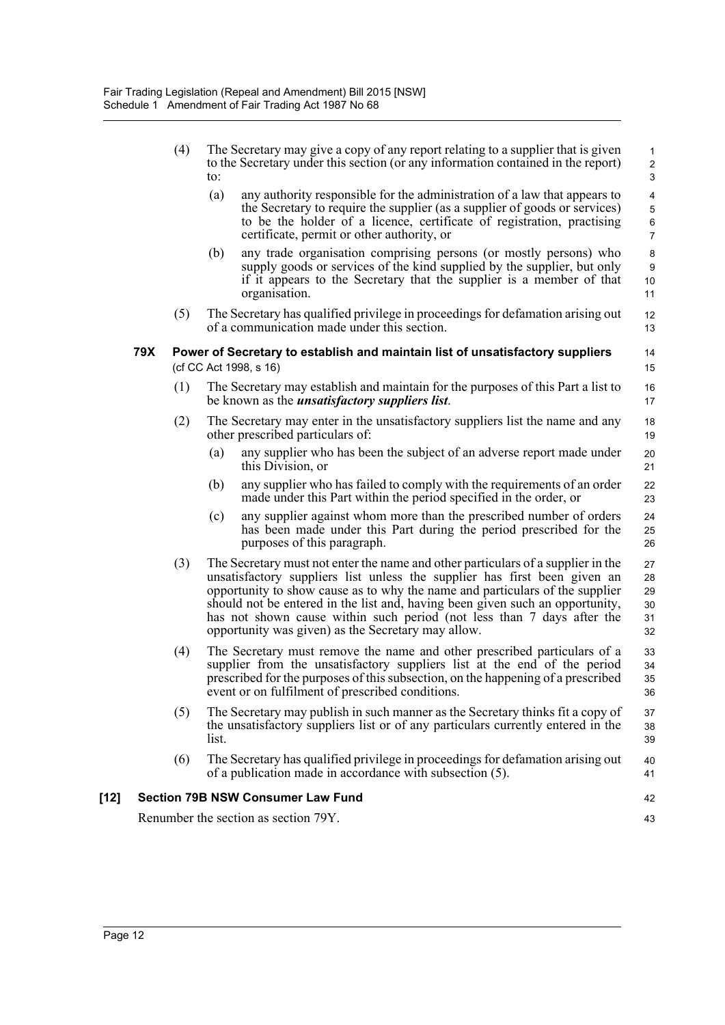|        |     | (4) | The Secretary may give a copy of any report relating to a supplier that is given<br>to the Secretary under this section (or any information contained in the report)<br>to:                                                                                                                                                                                                                                                                                    | 1<br>$\overline{2}$<br>$\mathsf 3$            |
|--------|-----|-----|----------------------------------------------------------------------------------------------------------------------------------------------------------------------------------------------------------------------------------------------------------------------------------------------------------------------------------------------------------------------------------------------------------------------------------------------------------------|-----------------------------------------------|
|        |     |     | (a)<br>any authority responsible for the administration of a law that appears to<br>the Secretary to require the supplier (as a supplier of goods or services)<br>to be the holder of a licence, certificate of registration, practising<br>certificate, permit or other authority, or                                                                                                                                                                         | 4<br>$\mathbf 5$<br>$\,6\,$<br>$\overline{7}$ |
|        |     |     | (b)<br>any trade organisation comprising persons (or mostly persons) who<br>supply goods or services of the kind supplied by the supplier, but only<br>if it appears to the Secretary that the supplier is a member of that<br>organisation.                                                                                                                                                                                                                   | 8<br>$\boldsymbol{9}$<br>10<br>11             |
|        |     | (5) | The Secretary has qualified privilege in proceedings for defamation arising out<br>of a communication made under this section.                                                                                                                                                                                                                                                                                                                                 | 12<br>13                                      |
|        | 79X |     | Power of Secretary to establish and maintain list of unsatisfactory suppliers<br>(cf CC Act 1998, s 16)                                                                                                                                                                                                                                                                                                                                                        | 14<br>15                                      |
|        |     | (1) | The Secretary may establish and maintain for the purposes of this Part a list to<br>be known as the <i>unsatisfactory suppliers list</i> .                                                                                                                                                                                                                                                                                                                     | 16<br>17                                      |
|        |     | (2) | The Secretary may enter in the unsatisfactory suppliers list the name and any<br>other prescribed particulars of:                                                                                                                                                                                                                                                                                                                                              | 18<br>19                                      |
|        |     |     | any supplier who has been the subject of an adverse report made under<br>(a)<br>this Division, or                                                                                                                                                                                                                                                                                                                                                              | 20<br>21                                      |
|        |     |     | (b)<br>any supplier who has failed to comply with the requirements of an order<br>made under this Part within the period specified in the order, or                                                                                                                                                                                                                                                                                                            | 22<br>23                                      |
|        |     |     | any supplier against whom more than the prescribed number of orders<br>(c)<br>has been made under this Part during the period prescribed for the<br>purposes of this paragraph.                                                                                                                                                                                                                                                                                | 24<br>25<br>26                                |
|        |     | (3) | The Secretary must not enter the name and other particulars of a supplier in the<br>unsatisfactory suppliers list unless the supplier has first been given an<br>opportunity to show cause as to why the name and particulars of the supplier<br>should not be entered in the list and, having been given such an opportunity,<br>has not shown cause within such period (not less than 7 days after the<br>opportunity was given) as the Secretary may allow. | 27<br>28<br>29<br>30<br>31<br>32              |
|        |     | (4) | The Secretary must remove the name and other prescribed particulars of a<br>supplier from the unsatisfactory suppliers list at the end of the period<br>prescribed for the purposes of this subsection, on the happening of a prescribed<br>event or on fulfilment of prescribed conditions.                                                                                                                                                                   | 33<br>34<br>35<br>36                          |
|        |     | (5) | The Secretary may publish in such manner as the Secretary thinks fit a copy of<br>the unsatisfactory suppliers list or of any particulars currently entered in the<br>list.                                                                                                                                                                                                                                                                                    | 37<br>38<br>39                                |
|        |     | (6) | The Secretary has qualified privilege in proceedings for defamation arising out<br>of a publication made in accordance with subsection (5).                                                                                                                                                                                                                                                                                                                    | 40<br>41                                      |
| $[12]$ |     |     | <b>Section 79B NSW Consumer Law Fund</b>                                                                                                                                                                                                                                                                                                                                                                                                                       | 42                                            |
|        |     |     | Renumber the section as section 79Y.                                                                                                                                                                                                                                                                                                                                                                                                                           | 43                                            |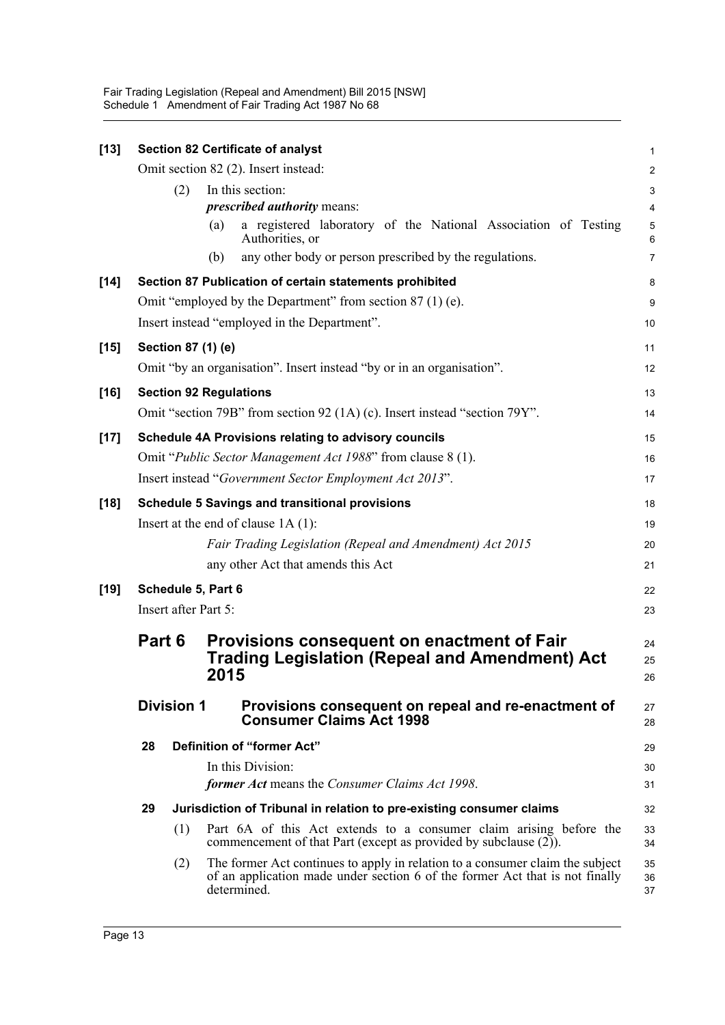| $[13]$ |        |                   | <b>Section 82 Certificate of analyst</b>                                                                                                                                     | 1                        |
|--------|--------|-------------------|------------------------------------------------------------------------------------------------------------------------------------------------------------------------------|--------------------------|
|        |        |                   | Omit section 82 (2). Insert instead:                                                                                                                                         | $\overline{c}$           |
|        |        | (2)               | In this section:                                                                                                                                                             | 3                        |
|        |        |                   | <i>prescribed authority means:</i>                                                                                                                                           | $\overline{\mathcal{A}}$ |
|        |        |                   | a registered laboratory of the National Association of Testing<br>(a)<br>Authorities, or                                                                                     | 5<br>6                   |
|        |        |                   | any other body or person prescribed by the regulations.<br>(b)                                                                                                               | 7                        |
| $[14]$ |        |                   | Section 87 Publication of certain statements prohibited                                                                                                                      | 8                        |
|        |        |                   | Omit "employed by the Department" from section 87 (1) (e).                                                                                                                   | 9                        |
|        |        |                   | Insert instead "employed in the Department".                                                                                                                                 | 10                       |
| $[15]$ |        |                   | Section 87 (1) (e)                                                                                                                                                           | 11                       |
|        |        |                   | Omit "by an organisation". Insert instead "by or in an organisation".                                                                                                        | 12                       |
| $[16]$ |        |                   | <b>Section 92 Regulations</b>                                                                                                                                                | 13                       |
|        |        |                   | Omit "section 79B" from section 92 (1A) (c). Insert instead "section 79Y".                                                                                                   | 14                       |
| $[17]$ |        |                   | Schedule 4A Provisions relating to advisory councils                                                                                                                         | 15                       |
|        |        |                   | Omit "Public Sector Management Act 1988" from clause 8 (1).                                                                                                                  | 16                       |
|        |        |                   | Insert instead "Government Sector Employment Act 2013".                                                                                                                      | 17                       |
| $[18]$ |        |                   | <b>Schedule 5 Savings and transitional provisions</b>                                                                                                                        | 18                       |
|        |        |                   | Insert at the end of clause $1A(1)$ :                                                                                                                                        | 19                       |
|        |        |                   | Fair Trading Legislation (Repeal and Amendment) Act 2015                                                                                                                     | 20                       |
|        |        |                   | any other Act that amends this Act                                                                                                                                           | 21                       |
| $[19]$ |        |                   | Schedule 5, Part 6                                                                                                                                                           | 22                       |
|        |        |                   | Insert after Part 5:                                                                                                                                                         | 23                       |
|        | Part 6 |                   | Provisions consequent on enactment of Fair                                                                                                                                   | 24                       |
|        |        |                   | <b>Trading Legislation (Repeal and Amendment) Act</b><br>2015                                                                                                                | 25<br>26                 |
|        |        |                   |                                                                                                                                                                              |                          |
|        |        | <b>Division 1</b> | Provisions consequent on repeal and re-enactment of<br><b>Consumer Claims Act 1998</b>                                                                                       | 27<br>28                 |
|        | 28     |                   | Definition of "former Act"                                                                                                                                                   | 29                       |
|        |        |                   | In this Division:                                                                                                                                                            | 30                       |
|        |        |                   | former Act means the Consumer Claims Act 1998.                                                                                                                               | 31                       |
|        | 29     |                   | Jurisdiction of Tribunal in relation to pre-existing consumer claims                                                                                                         | 32                       |
|        |        | (1)               | Part 6A of this Act extends to a consumer claim arising before the<br>commencement of that Part (except as provided by subclause $(2)$ ).                                    | 33<br>34                 |
|        |        | (2)               | The former Act continues to apply in relation to a consumer claim the subject<br>of an application made under section 6 of the former Act that is not finally<br>determined. | 35<br>36<br>37           |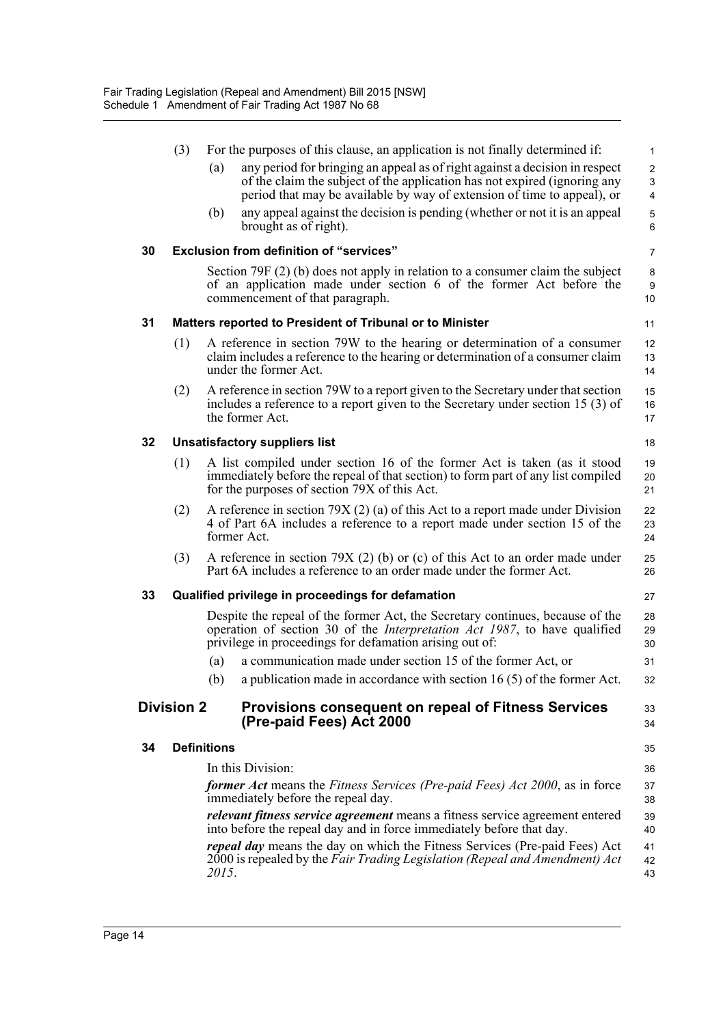| any period for bringing an appeal as of right against a decision in respect<br>(a)<br>of the claim the subject of the application has not expired (ignoring any<br>period that may be available by way of extension of time to appeal), or<br>any appeal against the decision is pending (whether or not it is an appeal<br>(b) | For the purposes of this clause, an application is not finally determined if:<br>$\mathbf 1$ |
|---------------------------------------------------------------------------------------------------------------------------------------------------------------------------------------------------------------------------------------------------------------------------------------------------------------------------------|----------------------------------------------------------------------------------------------|
|                                                                                                                                                                                                                                                                                                                                 | $\overline{c}$<br>3<br>$\overline{4}$                                                        |
| brought as of right).                                                                                                                                                                                                                                                                                                           | 5<br>6                                                                                       |
| <b>Exclusion from definition of "services"</b><br>30                                                                                                                                                                                                                                                                            | $\overline{7}$                                                                               |
| Section 79F $(2)$ (b) does not apply in relation to a consumer claim the subject<br>of an application made under section 6 of the former Act before the<br>commencement of that paragraph.                                                                                                                                      | 8<br>9<br>10                                                                                 |
| 31<br>Matters reported to President of Tribunal or to Minister                                                                                                                                                                                                                                                                  | 11                                                                                           |
| (1)<br>A reference in section 79W to the hearing or determination of a consumer<br>claim includes a reference to the hearing or determination of a consumer claim<br>under the former Act.                                                                                                                                      | 12<br>13<br>14                                                                               |
| A reference in section 79W to a report given to the Secretary under that section<br>(2)<br>includes a reference to a report given to the Secretary under section 15 (3) of<br>the former Act.                                                                                                                                   | 15<br>16<br>17                                                                               |
| 32<br><b>Unsatisfactory suppliers list</b>                                                                                                                                                                                                                                                                                      | 18                                                                                           |
| (1)<br>A list compiled under section 16 of the former Act is taken (as it stood<br>immediately before the repeal of that section) to form part of any list compiled<br>for the purposes of section 79X of this Act.                                                                                                             | 19<br>20<br>21                                                                               |
| A reference in section 79X (2) (a) of this Act to a report made under Division<br>(2)<br>4 of Part 6A includes a reference to a report made under section 15 of the<br>former Act.                                                                                                                                              | 22<br>23<br>24                                                                               |
| (3)<br>A reference in section 79X (2) (b) or (c) of this Act to an order made under<br>Part 6A includes a reference to an order made under the former Act.                                                                                                                                                                      | 25<br>26                                                                                     |
| 33<br>Qualified privilege in proceedings for defamation                                                                                                                                                                                                                                                                         | 27                                                                                           |
| Despite the repeal of the former Act, the Secretary continues, because of the<br>operation of section 30 of the <i>Interpretation Act 1987</i> , to have qualified<br>privilege in proceedings for defamation arising out of:                                                                                                   | 28<br>29<br>30                                                                               |
| a communication made under section 15 of the former Act, or<br>(a)                                                                                                                                                                                                                                                              | 31                                                                                           |
| (b)<br>a publication made in accordance with section $16(5)$ of the former Act.                                                                                                                                                                                                                                                 | 32                                                                                           |
| <b>Division 2</b><br><b>Provisions consequent on repeal of Fitness Services</b><br>(Pre-paid Fees) Act 2000                                                                                                                                                                                                                     | 33<br>34                                                                                     |
|                                                                                                                                                                                                                                                                                                                                 | 35                                                                                           |
| <b>Definitions</b><br>34                                                                                                                                                                                                                                                                                                        | 36                                                                                           |
| In this Division:                                                                                                                                                                                                                                                                                                               | 37                                                                                           |
| <b>former Act</b> means the Fitness Services (Pre-paid Fees) Act 2000, as in force                                                                                                                                                                                                                                              |                                                                                              |
| immediately before the repeal day.<br><i>relevant fitness service agreement</i> means a fitness service agreement entered                                                                                                                                                                                                       | 38<br>39                                                                                     |
| into before the repeal day and in force immediately before that day.<br>repeal day means the day on which the Fitness Services (Pre-paid Fees) Act                                                                                                                                                                              | 40<br>41                                                                                     |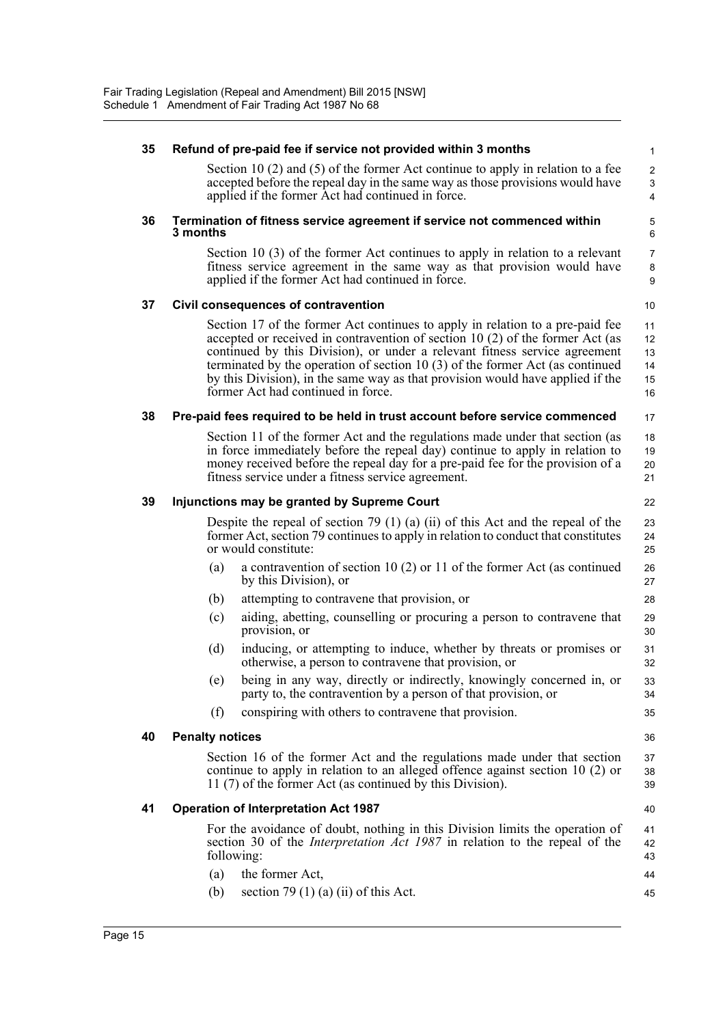| 35 | Refund of pre-paid fee if service not provided within 3 months                                                                                                                                                                                                                                                                                                                                                                                          | $\mathbf{1}$                     |
|----|---------------------------------------------------------------------------------------------------------------------------------------------------------------------------------------------------------------------------------------------------------------------------------------------------------------------------------------------------------------------------------------------------------------------------------------------------------|----------------------------------|
|    | Section 10 $(2)$ and $(5)$ of the former Act continue to apply in relation to a fee<br>accepted before the repeal day in the same way as those provisions would have<br>applied if the former Act had continued in force.                                                                                                                                                                                                                               | $\overline{2}$<br>3<br>4         |
| 36 | Termination of fitness service agreement if service not commenced within<br>3 months                                                                                                                                                                                                                                                                                                                                                                    | 5<br>6                           |
|    | Section 10 (3) of the former Act continues to apply in relation to a relevant<br>fitness service agreement in the same way as that provision would have<br>applied if the former Act had continued in force.                                                                                                                                                                                                                                            | $\overline{7}$<br>8<br>9         |
| 37 | Civil consequences of contravention                                                                                                                                                                                                                                                                                                                                                                                                                     | 10                               |
|    | Section 17 of the former Act continues to apply in relation to a pre-paid fee<br>accepted or received in contravention of section 10 (2) of the former Act (as<br>continued by this Division), or under a relevant fitness service agreement<br>terminated by the operation of section 10 $(3)$ of the former Act (as continued<br>by this Division), in the same way as that provision would have applied if the<br>former Act had continued in force. | 11<br>12<br>13<br>14<br>15<br>16 |
| 38 | Pre-paid fees required to be held in trust account before service commenced                                                                                                                                                                                                                                                                                                                                                                             | 17                               |
|    | Section 11 of the former Act and the regulations made under that section (as<br>in force immediately before the repeal day) continue to apply in relation to<br>money received before the repeal day for a pre-paid fee for the provision of a<br>fitness service under a fitness service agreement.                                                                                                                                                    | 18<br>19<br>20<br>21             |
| 39 | Injunctions may be granted by Supreme Court                                                                                                                                                                                                                                                                                                                                                                                                             | 22                               |
|    | Despite the repeal of section 79 $(1)$ (a) $(ii)$ of this Act and the repeal of the<br>former Act, section 79 continues to apply in relation to conduct that constitutes<br>or would constitute:                                                                                                                                                                                                                                                        | 23<br>24<br>25                   |
|    | a contravention of section 10 $(2)$ or 11 of the former Act (as continued<br>(a)<br>by this Division), or                                                                                                                                                                                                                                                                                                                                               | 26<br>27                         |
|    | (b)<br>attempting to contravene that provision, or                                                                                                                                                                                                                                                                                                                                                                                                      | 28                               |
|    | aiding, abetting, counselling or procuring a person to contravene that<br>(c)<br>provision, or                                                                                                                                                                                                                                                                                                                                                          | 29<br>30                         |
|    | (d)<br>inducing, or attempting to induce, whether by threats or promises or<br>otherwise, a person to contravene that provision, or                                                                                                                                                                                                                                                                                                                     | 31<br>32                         |
|    | (e) being in any way, directly or indirectly, knowingly concerned in, or<br>party to, the contravention by a person of that provision, or                                                                                                                                                                                                                                                                                                               | 33<br>34                         |
|    | (f)<br>conspiring with others to contravene that provision.                                                                                                                                                                                                                                                                                                                                                                                             | 35                               |
| 40 | <b>Penalty notices</b>                                                                                                                                                                                                                                                                                                                                                                                                                                  | 36                               |
|    | Section 16 of the former Act and the regulations made under that section<br>continue to apply in relation to an alleged offence against section 10 (2) or<br>11 (7) of the former Act (as continued by this Division).                                                                                                                                                                                                                                  | 37<br>38<br>39                   |
| 41 | <b>Operation of Interpretation Act 1987</b>                                                                                                                                                                                                                                                                                                                                                                                                             | 40                               |
|    | For the avoidance of doubt, nothing in this Division limits the operation of<br>section 30 of the <i>Interpretation Act 1987</i> in relation to the repeal of the<br>following:                                                                                                                                                                                                                                                                         | 41<br>42<br>43                   |
|    | the former Act,<br>(a)                                                                                                                                                                                                                                                                                                                                                                                                                                  | 44                               |
|    | section 79 (1) (a) (ii) of this Act.<br>(b)                                                                                                                                                                                                                                                                                                                                                                                                             | 45                               |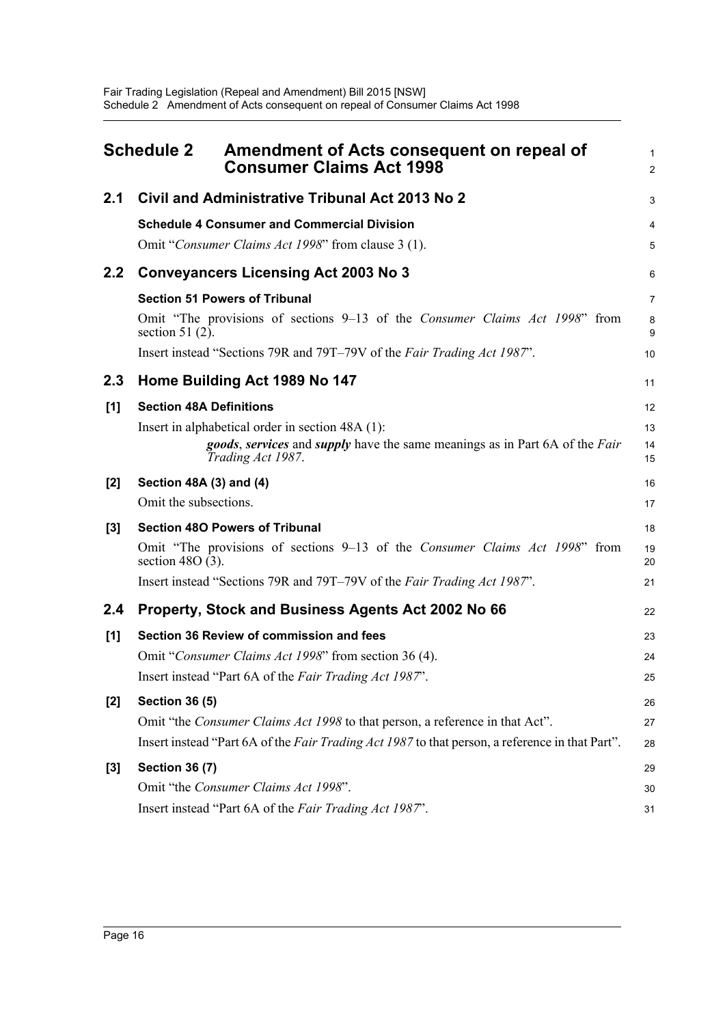<span id="page-18-0"></span>

|       | <b>Schedule 2</b><br>Amendment of Acts consequent on repeal of<br><b>Consumer Claims Act 1998</b>                                                                         | 1<br>$\overline{2}$ |
|-------|---------------------------------------------------------------------------------------------------------------------------------------------------------------------------|---------------------|
| 2.1   | Civil and Administrative Tribunal Act 2013 No 2                                                                                                                           | 3                   |
|       | <b>Schedule 4 Consumer and Commercial Division</b><br>Omit "Consumer Claims Act 1998" from clause 3 (1).                                                                  | 4<br>5              |
| 2.2   | <b>Conveyancers Licensing Act 2003 No 3</b>                                                                                                                               | 6                   |
|       | <b>Section 51 Powers of Tribunal</b>                                                                                                                                      | $\overline{7}$      |
|       | Omit "The provisions of sections 9–13 of the Consumer Claims Act 1998" from<br>section 51 $(2)$ .                                                                         | 8<br>9              |
|       | Insert instead "Sections 79R and 79T-79V of the Fair Trading Act 1987".                                                                                                   | 10                  |
| 2.3   | Home Building Act 1989 No 147                                                                                                                                             | 11                  |
| [1]   | <b>Section 48A Definitions</b>                                                                                                                                            | 12                  |
|       | Insert in alphabetical order in section 48A (1):<br><i>goods, services</i> and <i>supply</i> have the same meanings as in Part 6A of the <i>Fair</i><br>Trading Act 1987. | 13<br>14<br>15      |
| $[2]$ | Section 48A (3) and (4)                                                                                                                                                   | 16                  |
|       | Omit the subsections.                                                                                                                                                     | 17                  |
| $[3]$ | <b>Section 480 Powers of Tribunal</b>                                                                                                                                     | 18                  |
|       | Omit "The provisions of sections 9–13 of the Consumer Claims Act 1998" from<br>section 48O $(3)$ .                                                                        | 19<br>20            |
|       | Insert instead "Sections 79R and 79T-79V of the Fair Trading Act 1987".                                                                                                   | 21                  |
| 2.4   | Property, Stock and Business Agents Act 2002 No 66                                                                                                                        | 22                  |
| [1]   | Section 36 Review of commission and fees                                                                                                                                  | 23                  |
|       | Omit "Consumer Claims Act 1998" from section 36 (4).                                                                                                                      | 24                  |
|       | Insert instead "Part 6A of the Fair Trading Act 1987"                                                                                                                     | 25                  |
| $[2]$ | <b>Section 36 (5)</b>                                                                                                                                                     | 26                  |
|       | Omit "the <i>Consumer Claims Act 1998</i> to that person, a reference in that Act".                                                                                       | 27                  |
|       | Insert instead "Part 6A of the Fair Trading Act 1987 to that person, a reference in that Part".                                                                           | 28                  |
| $[3]$ | <b>Section 36 (7)</b>                                                                                                                                                     | 29                  |
|       | Omit "the Consumer Claims Act 1998".                                                                                                                                      | 30                  |
|       | Insert instead "Part 6A of the Fair Trading Act 1987".                                                                                                                    | 31                  |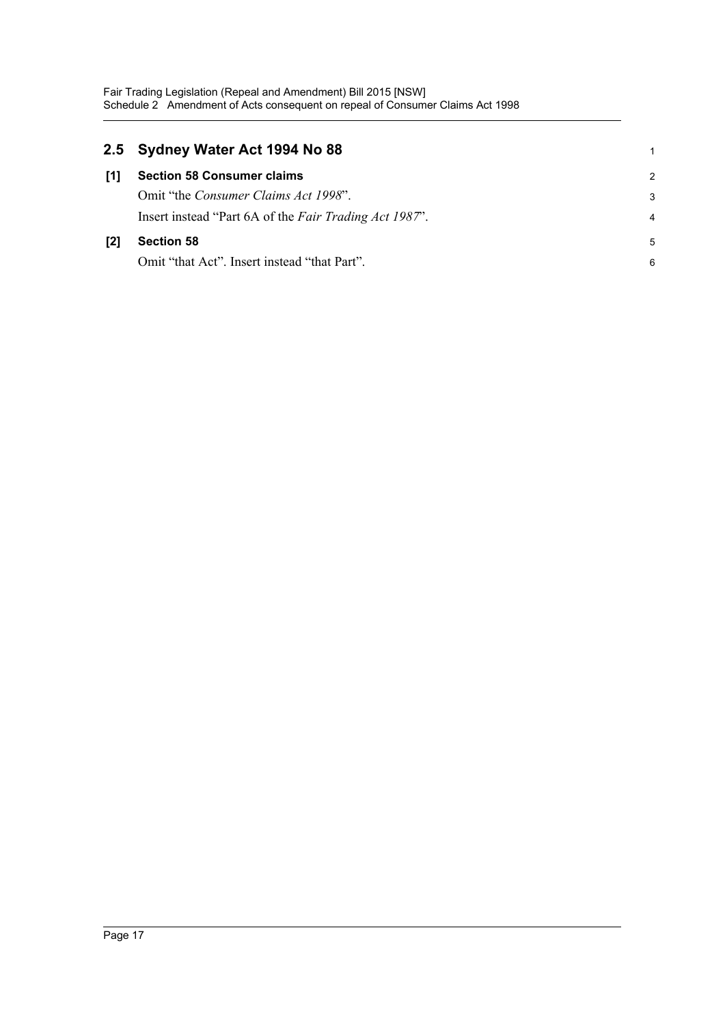|     | 2.5 Sydney Water Act 1994 No 88                        | 1             |
|-----|--------------------------------------------------------|---------------|
| [1] | <b>Section 58 Consumer claims</b>                      | $\mathcal{P}$ |
|     | Omit "the <i>Consumer Claims Act 1998"</i> .           | 3             |
|     | Insert instead "Part 6A of the Fair Trading Act 1987". | 4             |
| [2] | <b>Section 58</b>                                      | 5             |
|     | Omit "that Act". Insert instead "that Part".           | 6             |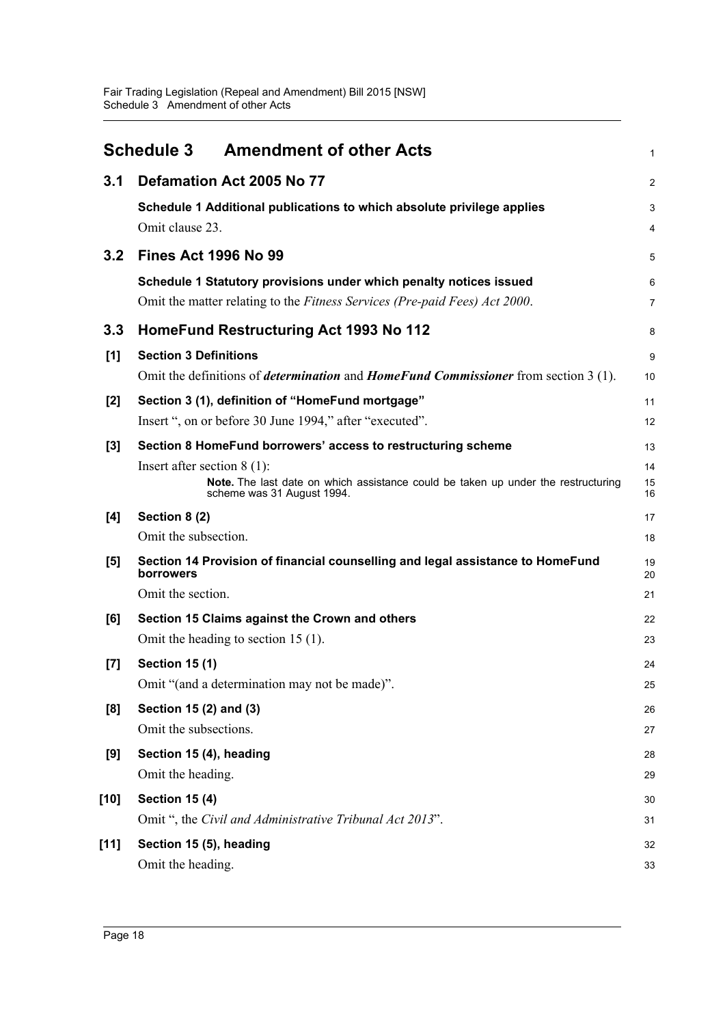<span id="page-20-0"></span>

|        | <b>Amendment of other Acts</b><br><b>Schedule 3</b>                                                                                                                                                              | 1                    |
|--------|------------------------------------------------------------------------------------------------------------------------------------------------------------------------------------------------------------------|----------------------|
| 3.1    | Defamation Act 2005 No 77                                                                                                                                                                                        | 2                    |
|        | Schedule 1 Additional publications to which absolute privilege applies<br>Omit clause 23.                                                                                                                        | 3<br>4               |
| 3.2    | <b>Fines Act 1996 No 99</b>                                                                                                                                                                                      | 5                    |
|        | Schedule 1 Statutory provisions under which penalty notices issued<br>Omit the matter relating to the Fitness Services (Pre-paid Fees) Act 2000.                                                                 | 6<br>7               |
| 3.3    | HomeFund Restructuring Act 1993 No 112                                                                                                                                                                           | 8                    |
| [1]    | <b>Section 3 Definitions</b><br>Omit the definitions of <i>determination</i> and <i>HomeFund Commissioner</i> from section 3 (1).                                                                                | 9<br>10              |
| [2]    | Section 3 (1), definition of "HomeFund mortgage"<br>Insert ", on or before 30 June 1994," after "executed".                                                                                                      | 11<br>12             |
| $[3]$  | Section 8 HomeFund borrowers' access to restructuring scheme<br>Insert after section $8(1)$ :<br>Note. The last date on which assistance could be taken up under the restructuring<br>scheme was 31 August 1994. | 13<br>14<br>15<br>16 |
| [4]    | Section 8 (2)                                                                                                                                                                                                    | 17                   |
|        | Omit the subsection.                                                                                                                                                                                             | 18                   |
| [5]    | Section 14 Provision of financial counselling and legal assistance to HomeFund<br>borrowers                                                                                                                      | 19<br>20             |
|        | Omit the section.                                                                                                                                                                                                | 21                   |
| [6]    | Section 15 Claims against the Crown and others<br>Omit the heading to section 15 $(1)$ .                                                                                                                         | 22<br>23             |
| $[7]$  | <b>Section 15 (1)</b><br>Omit "(and a determination may not be made)".                                                                                                                                           | 24<br>25             |
| [8]    | Section 15 (2) and (3)<br>Omit the subsections.                                                                                                                                                                  | 26<br>27             |
| [9]    | Section 15 (4), heading<br>Omit the heading.                                                                                                                                                                     | 28<br>29             |
| $[10]$ | <b>Section 15 (4)</b><br>Omit ", the Civil and Administrative Tribunal Act 2013".                                                                                                                                | 30<br>31             |
| $[11]$ | Section 15 (5), heading<br>Omit the heading.                                                                                                                                                                     | 32<br>33             |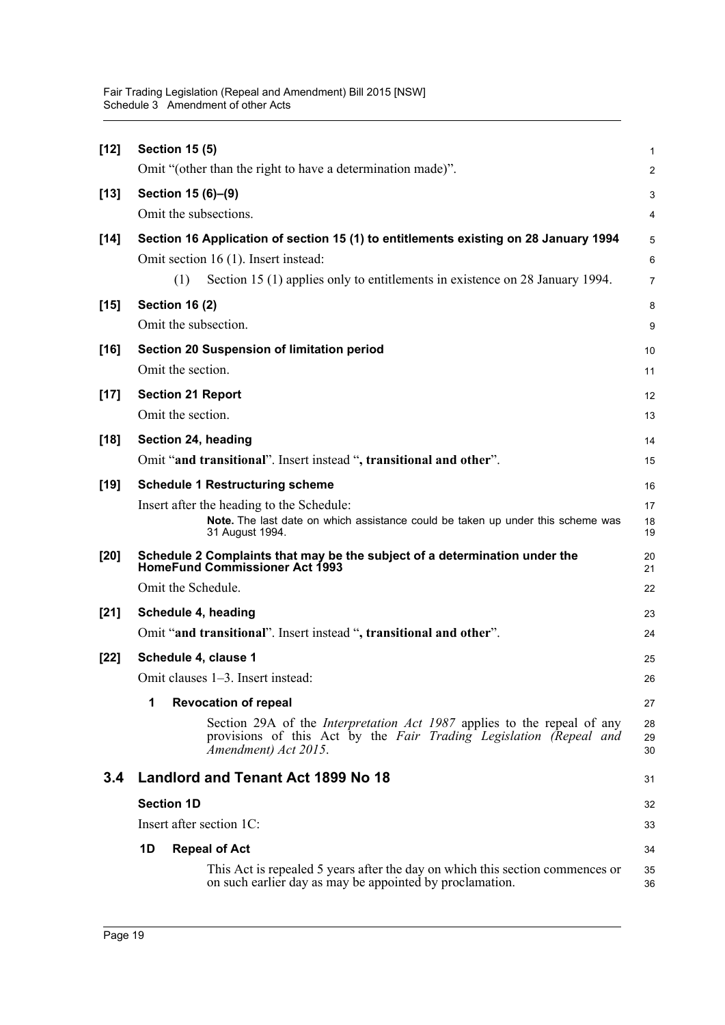| $[12]$ | <b>Section 15 (5)</b><br>Omit "(other than the right to have a determination made)".                                                                                                                                | $\mathbf{1}$<br>$\overline{2}$ |
|--------|---------------------------------------------------------------------------------------------------------------------------------------------------------------------------------------------------------------------|--------------------------------|
| $[13]$ | Section 15 (6)-(9)                                                                                                                                                                                                  | 3                              |
|        | Omit the subsections.                                                                                                                                                                                               | 4                              |
| $[14]$ | Section 16 Application of section 15 (1) to entitlements existing on 28 January 1994<br>Omit section 16 (1). Insert instead:<br>Section 15 (1) applies only to entitlements in existence on 28 January 1994.<br>(1) | 5<br>6<br>$\overline{7}$       |
| $[15]$ | <b>Section 16 (2)</b><br>Omit the subsection.                                                                                                                                                                       | 8<br>9                         |
| $[16]$ | Section 20 Suspension of limitation period<br>Omit the section.                                                                                                                                                     | 10<br>11                       |
| $[17]$ | <b>Section 21 Report</b><br>Omit the section.                                                                                                                                                                       | 12<br>13                       |
| $[18]$ | Section 24, heading<br>Omit "and transitional". Insert instead ", transitional and other".                                                                                                                          | 14<br>15                       |
| $[19]$ | <b>Schedule 1 Restructuring scheme</b>                                                                                                                                                                              | 16                             |
|        | Insert after the heading to the Schedule:<br>Note. The last date on which assistance could be taken up under this scheme was<br>31 August 1994.                                                                     | 17<br>18<br>19                 |
| $[20]$ | Schedule 2 Complaints that may be the subject of a determination under the<br><b>HomeFund Commissioner Act 1993</b>                                                                                                 | 20<br>21                       |
|        | Omit the Schedule.                                                                                                                                                                                                  | 22                             |
| $[21]$ | Schedule 4, heading<br>Omit "and transitional". Insert instead ", transitional and other".                                                                                                                          | 23<br>24                       |
| $[22]$ | Schedule 4, clause 1<br>Omit clauses 1–3. Insert instead:                                                                                                                                                           | 25<br>26                       |
|        | <b>Revocation of repeal</b><br>1                                                                                                                                                                                    | 27                             |
|        | Section 29A of the <i>Interpretation Act 1987</i> applies to the repeal of any<br>provisions of this Act by the Fair Trading Legislation (Repeal and<br>Amendment) Act 2015.                                        | 28<br>29<br>30                 |
| 3.4    | Landlord and Tenant Act 1899 No 18                                                                                                                                                                                  | 31                             |
|        | <b>Section 1D</b>                                                                                                                                                                                                   | 32                             |
|        | Insert after section 1C:                                                                                                                                                                                            | 33                             |
|        | 1D<br><b>Repeal of Act</b>                                                                                                                                                                                          | 34                             |
|        | This Act is repealed 5 years after the day on which this section commences or<br>on such earlier day as may be appointed by proclamation.                                                                           | 35<br>36                       |